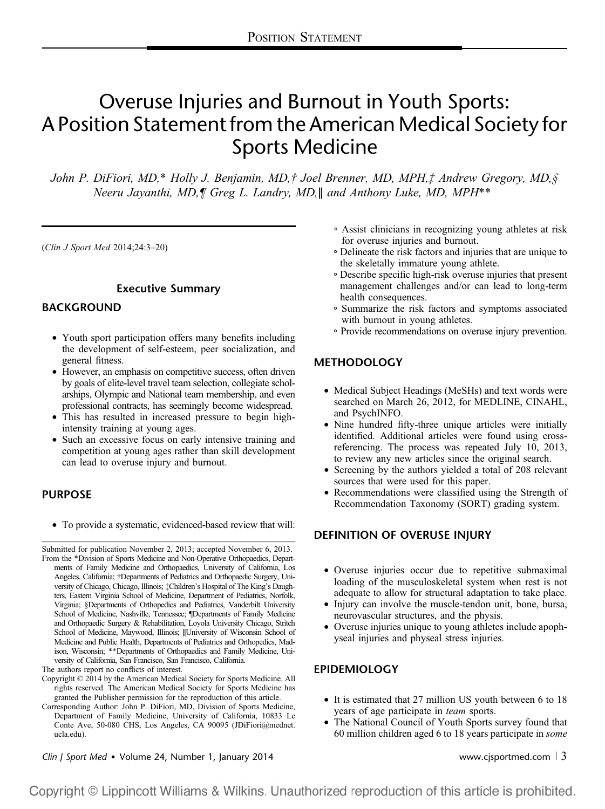# Overuse Injuries and Burnout in Youth Sports: A Position Statement from the American Medical Society for Sports Medicine

John P. DiFiori, MD,\* Holly J. Benjamin, MD,† Joel Brenner, MD, MPH,‡ Andrew Gregory, MD,§ Neeru Jayanthi, MD,¶ Greg L. Landry, MD,∥ and Anthony Luke, MD, MPH\*\*

(Clin J Sport Med 2014;24:3–20)

## Executive Summary

## BACKGROUND

- Youth sport participation offers many benefits including the development of self-esteem, peer socialization, and general fitness.
- However, an emphasis on competitive success, often driven by goals of elite-level travel team selection, collegiate scholarships, Olympic and National team membership, and even professional contracts, has seemingly become widespread.
- This has resulted in increased pressure to begin highintensity training at young ages.
- Such an excessive focus on early intensive training and competition at young ages rather than skill development can lead to overuse injury and burnout.

## PURPOSE

• To provide a systematic, evidenced-based review that will:

Submitted for publication November 2, 2013; accepted November 6, 2013. From the \*Division of Sports Medicine and Non-Operative Orthopaedics, Departments of Family Medicine and Orthopaedics, University of California, Los Angeles, California; †Departments of Pediatrics and Orthopaedic Surgery, University of Chicago, Chicago, Illinois; ‡Children's Hospital of The King's Daughters, Eastern Virginia School of Medicine, Department of Pediatrics, Norfolk, Virginia; §Departments of Orthopedics and Pediatrics, Vanderbilt University School of Medicine, Nashville, Tennessee; ¶Departments of Family Medicine and Orthopaedic Surgery & Rehabilitation, Loyola University Chicago, Stritch School of Medicine, Maywood, Illinois; ∥University of Wisconsin School of Medicine and Public Health, Departments of Pediatrics and Orthopedics, Madison, Wisconsin; \*\*Departments of Orthopaedics and Family Medicine, University of California, San Francisco, San Francisco, California.

- Copyright © 2014 by the American Medical Society for Sports Medicine. All rights reserved. The American Medical Society for Sports Medicine has granted the Publisher permission for the reproduction of this article.
- Corresponding Author: John P. DiFiori, MD, Division of Sports Medicine, Department of Family Medicine, University of California, 10833 Le Conte Ave, 50-080 CHS, Los Angeles, CA 90095 (JDiFiori@mednet. ucla.edu).

∘ Assist clinicians in recognizing young athletes at risk for overuse injuries and burnout.

- ∘ Delineate the risk factors and injuries that are unique to the skeletally immature young athlete.
- ∘ Describe specific high-risk overuse injuries that present management challenges and/or can lead to long-term health consequences.
- ∘ Summarize the risk factors and symptoms associated with burnout in young athletes.
- ∘ Provide recommendations on overuse injury prevention.

## METHODOLOGY

- Medical Subject Headings (MeSHs) and text words were searched on March 26, 2012, for MEDLINE, CINAHL, and PsychINFO.
- Nine hundred fifty-three unique articles were initially identified. Additional articles were found using crossreferencing. The process was repeated July 10, 2013, to review any new articles since the original search.
- Screening by the authors yielded a total of 208 relevant sources that were used for this paper.
- Recommendations were classified using the Strength of Recommendation Taxonomy (SORT) grading system.

## DEFINITION OF OVERUSE INJURY

- Overuse injuries occur due to repetitive submaximal loading of the musculoskeletal system when rest is not adequate to allow for structural adaptation to take place.
- Injury can involve the muscle-tendon unit, bone, bursa, neurovascular structures, and the physis.
- Overuse injuries unique to young athletes include apophyseal injuries and physeal stress injuries.

## EPIDEMIOLOGY

- It is estimated that 27 million US youth between 6 to 18 years of age participate in *team* sports.
- The National Council of Youth Sports survey found that 60 million children aged 6 to 18 years participate in some

Clin J Sport Med • Volume 24, Number 1, January 2014 www.cjsportmed.com | 3

The authors report no conflicts of interest.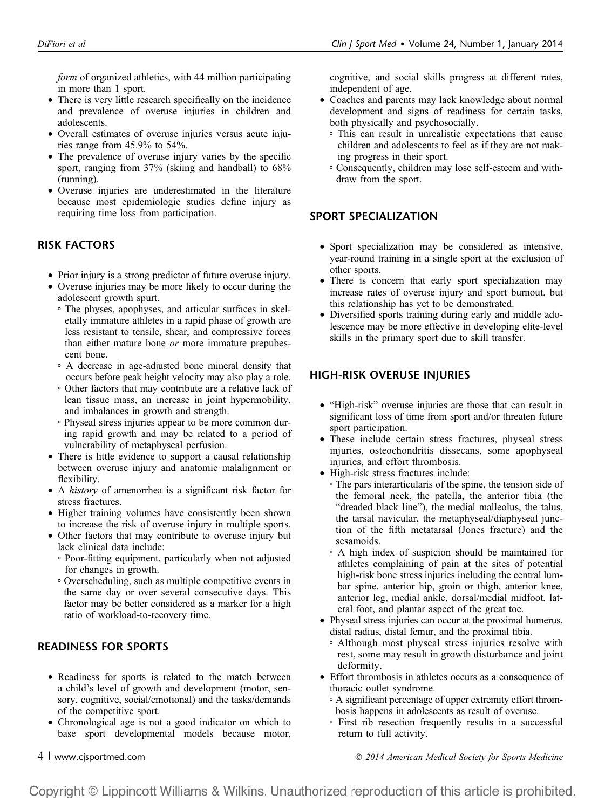form of organized athletics, with 44 million participating in more than 1 sport.

- There is very little research specifically on the incidence and prevalence of overuse injuries in children and adolescents.
- Overall estimates of overuse injuries versus acute injuries range from 45.9% to 54%.
- The prevalence of overuse injury varies by the specific sport, ranging from 37% (skiing and handball) to 68% (running).
- Overuse injuries are underestimated in the literature because most epidemiologic studies define injury as requiring time loss from participation.

## RISK FACTORS

- Prior injury is a strong predictor of future overuse injury.
- Overuse injuries may be more likely to occur during the adolescent growth spurt.
	- ∘ The physes, apophyses, and articular surfaces in skeletally immature athletes in a rapid phase of growth are less resistant to tensile, shear, and compressive forces than either mature bone *or* more immature prepubescent bone.
	- ∘ A decrease in age-adjusted bone mineral density that occurs before peak height velocity may also play a role.
	- ∘ Other factors that may contribute are a relative lack of lean tissue mass, an increase in joint hypermobility, and imbalances in growth and strength.
	- ∘ Physeal stress injuries appear to be more common during rapid growth and may be related to a period of vulnerability of metaphyseal perfusion.
- There is little evidence to support a causal relationship between overuse injury and anatomic malalignment or flexibility.
- A *history* of amenorrhea is a significant risk factor for stress fractures.
- Higher training volumes have consistently been shown to increase the risk of overuse injury in multiple sports.
- Other factors that may contribute to overuse injury but lack clinical data include:
	- ∘ Poor-fitting equipment, particularly when not adjusted for changes in growth.
	- ∘ Overscheduling, such as multiple competitive events in the same day or over several consecutive days. This factor may be better considered as a marker for a high ratio of workload-to-recovery time.

## READINESS FOR SPORTS

- Readiness for sports is related to the match between a child's level of growth and development (motor, sensory, cognitive, social/emotional) and the tasks/demands of the competitive sport.
- Chronological age is not a good indicator on which to base sport developmental models because motor,
- $4$  | www.cjsportmed.com

cognitive, and social skills progress at different rates, independent of age.

- Coaches and parents may lack knowledge about normal development and signs of readiness for certain tasks, both physically and psychosocially.
	- ∘ This can result in unrealistic expectations that cause children and adolescents to feel as if they are not making progress in their sport.
	- ∘ Consequently, children may lose self-esteem and withdraw from the sport.

## SPORT SPECIALIZATION

- Sport specialization may be considered as intensive, year-round training in a single sport at the exclusion of other sports.
- There is concern that early sport specialization may increase rates of overuse injury and sport burnout, but this relationship has yet to be demonstrated.
- Diversified sports training during early and middle adolescence may be more effective in developing elite-level skills in the primary sport due to skill transfer.

## HIGH-RISK OVERUSE INJURIES

- "High-risk" overuse injuries are those that can result in significant loss of time from sport and/or threaten future sport participation.
- These include certain stress fractures, physeal stress injuries, osteochondritis dissecans, some apophyseal injuries, and effort thrombosis.
- High-risk stress fractures include:
	- ∘ The pars interarticularis of the spine, the tension side of the femoral neck, the patella, the anterior tibia (the "dreaded black line"), the medial malleolus, the talus, the tarsal navicular, the metaphyseal/diaphyseal junction of the fifth metatarsal (Jones fracture) and the sesamoids.
	- ∘ A high index of suspicion should be maintained for athletes complaining of pain at the sites of potential high-risk bone stress injuries including the central lumbar spine, anterior hip, groin or thigh, anterior knee, anterior leg, medial ankle, dorsal/medial midfoot, lateral foot, and plantar aspect of the great toe.
- Physeal stress injuries can occur at the proximal humerus, distal radius, distal femur, and the proximal tibia.
	- ∘ Although most physeal stress injuries resolve with rest, some may result in growth disturbance and joint deformity.
- Effort thrombosis in athletes occurs as a consequence of thoracic outlet syndrome.
	- ∘ A significant percentage of upper extremity effort thrombosis happens in adolescents as result of overuse.
	- ∘ First rib resection frequently results in a successful return to full activity.

2014 American Medical Society for Sports Medicine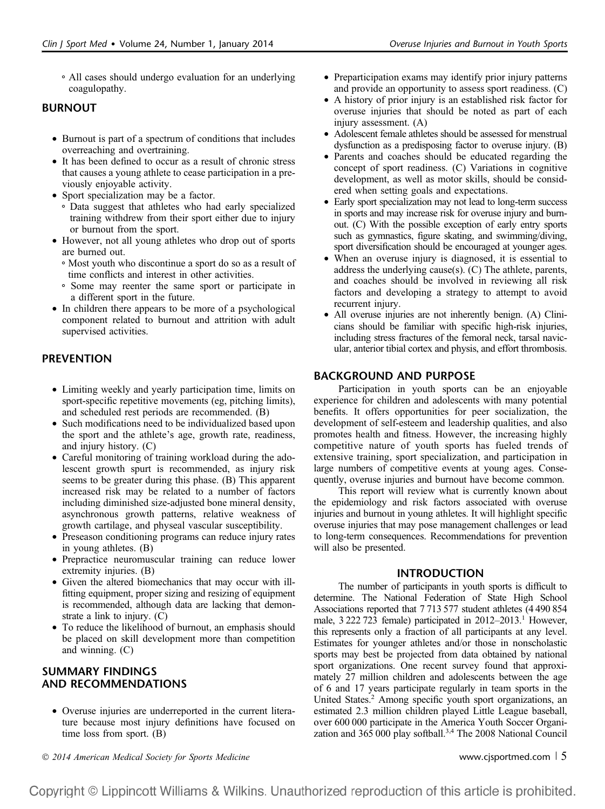∘ All cases should undergo evaluation for an underlying coagulopathy.

## BURNOUT

- Burnout is part of a spectrum of conditions that includes overreaching and overtraining.
- It has been defined to occur as a result of chronic stress that causes a young athlete to cease participation in a previously enjoyable activity.
- Sport specialization may be a factor.
	- ∘ Data suggest that athletes who had early specialized training withdrew from their sport either due to injury or burnout from the sport.
- However, not all young athletes who drop out of sports are burned out.
	- ∘ Most youth who discontinue a sport do so as a result of time conflicts and interest in other activities.
	- ∘ Some may reenter the same sport or participate in a different sport in the future.
- In children there appears to be more of a psychological component related to burnout and attrition with adult supervised activities.

## PREVENTION

- Limiting weekly and yearly participation time, limits on sport-specific repetitive movements (eg, pitching limits), and scheduled rest periods are recommended. (B)
- Such modifications need to be individualized based upon the sport and the athlete's age, growth rate, readiness, and injury history. (C)
- Careful monitoring of training workload during the adolescent growth spurt is recommended, as injury risk seems to be greater during this phase. (B) This apparent increased risk may be related to a number of factors including diminished size-adjusted bone mineral density, asynchronous growth patterns, relative weakness of growth cartilage, and physeal vascular susceptibility.
- Preseason conditioning programs can reduce injury rates in young athletes. (B)
- Prepractice neuromuscular training can reduce lower extremity injuries. (B)
- Given the altered biomechanics that may occur with illfitting equipment, proper sizing and resizing of equipment is recommended, although data are lacking that demonstrate a link to injury. (C)
- To reduce the likelihood of burnout, an emphasis should be placed on skill development more than competition and winning. (C)

## SUMMARY FINDINGS AND RECOMMENDATIONS

• Overuse injuries are underreported in the current literature because most injury definitions have focused on time loss from sport. (B)

- Preparticipation exams may identify prior injury patterns and provide an opportunity to assess sport readiness. (C)
- A history of prior injury is an established risk factor for overuse injuries that should be noted as part of each injury assessment. (A)
- Adolescent female athletes should be assessed for menstrual dysfunction as a predisposing factor to overuse injury. (B)
- Parents and coaches should be educated regarding the concept of sport readiness. (C) Variations in cognitive development, as well as motor skills, should be considered when setting goals and expectations.
- Early sport specialization may not lead to long-term success in sports and may increase risk for overuse injury and burnout. (C) With the possible exception of early entry sports such as gymnastics, figure skating, and swimming/diving, sport diversification should be encouraged at younger ages.
- When an overuse injury is diagnosed, it is essential to address the underlying cause(s). (C) The athlete, parents, and coaches should be involved in reviewing all risk factors and developing a strategy to attempt to avoid recurrent injury.
- All overuse injuries are not inherently benign. (A) Clinicians should be familiar with specific high-risk injuries, including stress fractures of the femoral neck, tarsal navicular, anterior tibial cortex and physis, and effort thrombosis.

## BACKGROUND AND PURPOSE

Participation in youth sports can be an enjoyable experience for children and adolescents with many potential benefits. It offers opportunities for peer socialization, the development of self-esteem and leadership qualities, and also promotes health and fitness. However, the increasing highly competitive nature of youth sports has fueled trends of extensive training, sport specialization, and participation in large numbers of competitive events at young ages. Consequently, overuse injuries and burnout have become common.

This report will review what is currently known about the epidemiology and risk factors associated with overuse injuries and burnout in young athletes. It will highlight specific overuse injuries that may pose management challenges or lead to long-term consequences. Recommendations for prevention will also be presented.

## INTRODUCTION

The number of participants in youth sports is difficult to determine. The National Federation of State High School Associations reported that 7 713 577 student athletes (4 490 854 male,  $3 222 723$  female) participated in  $2012-2013$ .<sup>1</sup> However, this represents only a fraction of all participants at any level. Estimates for younger athletes and/or those in nonscholastic sports may best be projected from data obtained by national sport organizations. One recent survey found that approximately 27 million children and adolescents between the age of 6 and 17 years participate regularly in team sports in the United States.<sup>2</sup> Among specific youth sport organizations, an estimated 2.3 million children played Little League baseball, over 600 000 participate in the America Youth Soccer Organization and  $365\,000$  play softball.<sup>3,4</sup> The 2008 National Council

© 2014 American Medical Society for Sports Medicine www.cjsportmed.com | 5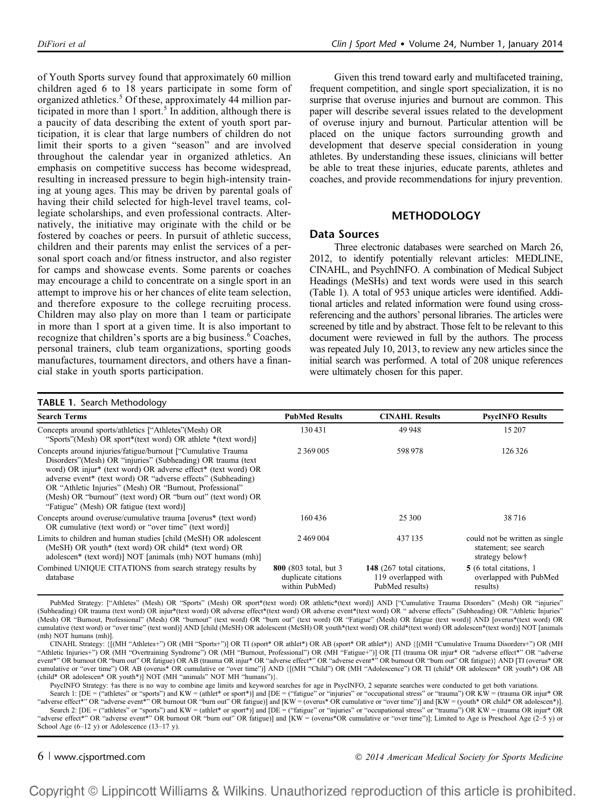of Youth Sports survey found that approximately 60 million children aged 6 to 18 years participate in some form of organized athletics.<sup>5</sup> Of these, approximately 44 million participated in more than 1 sport.<sup>5</sup> In addition, although there is a paucity of data describing the extent of youth sport participation, it is clear that large numbers of children do not limit their sports to a given "season" and are involved throughout the calendar year in organized athletics. An emphasis on competitive success has become widespread, resulting in increased pressure to begin high-intensity training at young ages. This may be driven by parental goals of having their child selected for high-level travel teams, collegiate scholarships, and even professional contracts. Alternatively, the initiative may originate with the child or be fostered by coaches or peers. In pursuit of athletic success, children and their parents may enlist the services of a personal sport coach and/or fitness instructor, and also register for camps and showcase events. Some parents or coaches may encourage a child to concentrate on a single sport in an attempt to improve his or her chances of elite team selection, and therefore exposure to the college recruiting process. Children may also play on more than 1 team or participate in more than 1 sport at a given time. It is also important to recognize that children's sports are a big business.<sup>6</sup> Coaches, personal trainers, club team organizations, sporting goods manufactures, tournament directors, and others have a financial stake in youth sports participation.

Given this trend toward early and multifaceted training, frequent competition, and single sport specialization, it is no surprise that overuse injuries and burnout are common. This paper will describe several issues related to the development of overuse injury and burnout. Particular attention will be placed on the unique factors surrounding growth and development that deserve special consideration in young athletes. By understanding these issues, clinicians will better be able to treat these injuries, educate parents, athletes and coaches, and provide recommendations for injury prevention.

#### **METHODOLOGY**

#### Data Sources

Three electronic databases were searched on March 26, 2012, to identify potentially relevant articles: MEDLINE, CINAHL, and PsychINFO. A combination of Medical Subject Headings (MeSHs) and text words were used in this search (Table 1). A total of 953 unique articles were identified. Additional articles and related information were found using crossreferencing and the authors' personal libraries. The articles were screened by title and by abstract. Those felt to be relevant to this document were reviewed in full by the authors. The process was repeated July 10, 2013, to review any new articles since the initial search was performed. A total of 208 unique references were ultimately chosen for this paper.

| <b>Search Terms</b>                                                                                                                                                                                                                                                                                                                                                                                                                                             | <b>PubMed Results</b>                                                  | <b>CINAHL Results</b>                                               | <b>PsycINFO Results</b>                                                    |
|-----------------------------------------------------------------------------------------------------------------------------------------------------------------------------------------------------------------------------------------------------------------------------------------------------------------------------------------------------------------------------------------------------------------------------------------------------------------|------------------------------------------------------------------------|---------------------------------------------------------------------|----------------------------------------------------------------------------|
| Concepts around sports/athletics ["Athletes" (Mesh) OR<br>"Sports" (Mesh) OR sport* (text word) OR athlete * (text word)]                                                                                                                                                                                                                                                                                                                                       | 130 431                                                                | 49 948                                                              | 15 207                                                                     |
| Concepts around injuries/fatigue/burnout ["Cumulative Trauma"]<br>Disorders" (Mesh) OR "injuries" (Subheading) OR trauma (text<br>word) OR injur <sup>*</sup> (text word) OR adverse effect <sup>*</sup> (text word) OR<br>adverse event* (text word) OR "adverse effects" (Subheading)<br>OR "Athletic Injuries" (Mesh) OR "Burnout, Professional"<br>(Mesh) OR "burnout" (text word) OR "burn out" (text word) OR<br>"Fatigue" (Mesh) OR fatigue (text word)] | 2 3 6 9 0 0 5                                                          | 598 978                                                             | 126326                                                                     |
| Concepts around overuse/cumulative trauma [overus* (text word)<br>OR cumulative (text word) or "over time" (text word)]                                                                                                                                                                                                                                                                                                                                         | 160436                                                                 | 25 300                                                              | 38716                                                                      |
| Limits to children and human studies [child (MeSH) OR adolescent<br>(MeSH) OR youth* (text word) OR child* (text word) OR<br>adolescen* (text word)] NOT [animals (mh) NOT humans (mh)]                                                                                                                                                                                                                                                                         | 2469004                                                                | 437135                                                              | could not be written as single<br>statement; see search<br>strategy below† |
| Combined UNIQUE CITATIONS from search strategy results by<br>database                                                                                                                                                                                                                                                                                                                                                                                           | <b>800</b> (803 total, but 3)<br>duplicate citations<br>within PubMed) | 148 (267 total citations,<br>119 overlapped with<br>PubMed results) | 5 (6 total citations, 1)<br>overlapped with PubMed<br>results)             |

PubMed Strategy: ["Athletes" (Mesh) OR "Sports" (Mesh) OR sport\*(text word) OR athletic\*(text word)] AND ["Cumulative Trauma Disorders" (Mesh) OR "injuries" (Subheading) OR trauma (text word) OR injur\*(text word) OR adverse effect\*(text word) OR adverse event\*(text word) OR " adverse effects" (Subheading) OR "Athletic Injuries" (Mesh) OR "Burnout, Professional" (Mesh) OR "burnout" (text word) OR "burn out" (text word) OR "Fatigue" (Mesh) OR fatigue (text word)] AND [overus\*(text word) OR cumulative (text word) or "over time" (text word)] AND [child (MeSH) OR adolescent (MeSH) OR youth\*(text word) OR child\*(text word) OR adolescen\*(text word)] NOT [animals (mh) NOT humans (mh)].

CINAHL Strategy: {[(MH "Athletes+") OR (MH "Sports+")] OR TI (sport\* OR athlet\*) OR AB (sport\* OR athlet\*)} AND {[(MH "Cumulative Trauma Disorders+") OR (MH "Athletic Injuries+") OR (MH "Overtraining Syndrome") OR (MH "Burnout, Professional") OR (MH "Fatigue+")] OR [TI (trauma OR injur\* OR "adverse effect\*" OR "adverse event\*" OR burnout OR "burn out" OR fatigue) OR AB (trauma OR injur\* OR "adverse effect\*" OR "adverse event\*" OR burnout OR "burn out" OR fatigue)} AND [TI (overus\* OR cumulative or "over time") OR AB (overus\* OR cumulative or "over time")] AND {[(MH "Child") OR (MH "Adolescence") OR TI (child\* OR adolescen\* OR youth\*) OR AB (child\* OR adolescen\* OR youth\*)] NOT (MH "animals" NOT MH "humans")}.

PsycINFO Strategy: †as there is no way to combine age limits and keyword searches for age in PsycINFO, 2 separate searches were conducted to get both variations.<br>Search 1: [DE = ("athletes" or "sports") and KW = (athlet\* o

"adverse effect\*" OR "adverse event\*" OR burnout OR "burn out" OR fatigue)] and [KW = (overus\* OR cumulative or "over time")] and [KW = (youth\* OR child\* OR adolescen\*)]. Search 2: [DE = ("athletes" or "sports") and KW = (athlet\* or sport\*)] and [DE = ("fatigue" or "injuries" or "occupational stress" or "trauma") OR KW = (trauma OR injur\* OR "adverse effect\*" OR "adverse event\*" OR burnout OR "burn out" OR fatigue)] and  $[KW = (overs*OR$  cumulative or "over time")]; Limited to Age is Preschool Age (2–5 y) or

## $6\,$  | www.cjsportmed.com

School Age (6–12 y) or Adolescence (13–17 y).

TABLE 1. Search Methodology

#### 2014 American Medical Society for Sports Medicine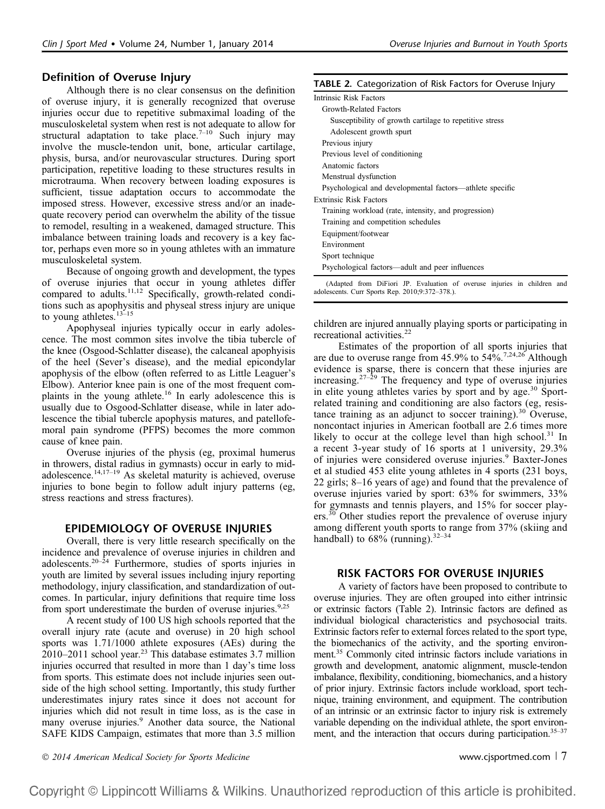#### Definition of Overuse Injury

Although there is no clear consensus on the definition of overuse injury, it is generally recognized that overuse injuries occur due to repetitive submaximal loading of the musculoskeletal system when rest is not adequate to allow for structural adaptation to take place.<sup>7-10</sup> Such injury may involve the muscle-tendon unit, bone, articular cartilage, physis, bursa, and/or neurovascular structures. During sport participation, repetitive loading to these structures results in microtrauma. When recovery between loading exposures is sufficient, tissue adaptation occurs to accommodate the imposed stress. However, excessive stress and/or an inadequate recovery period can overwhelm the ability of the tissue to remodel, resulting in a weakened, damaged structure. This imbalance between training loads and recovery is a key factor, perhaps even more so in young athletes with an immature musculoskeletal system.

Because of ongoing growth and development, the types of overuse injuries that occur in young athletes differ compared to adults.<sup>11,12</sup> Specifically, growth-related conditions such as apophysitis and physeal stress injury are unique to young athletes.<sup>13-15</sup>

Apophyseal injuries typically occur in early adolescence. The most common sites involve the tibia tubercle of the knee (Osgood-Schlatter disease), the calcaneal apophyisis of the heel (Sever's disease), and the medial epicondylar apophysis of the elbow (often referred to as Little Leaguer's Elbow). Anterior knee pain is one of the most frequent complaints in the young athlete.<sup>16</sup> In early adolescence this is usually due to Osgood-Schlatter disease, while in later adolescence the tibial tubercle apophysis matures, and patellofemoral pain syndrome (PFPS) becomes the more common cause of knee pain.

Overuse injuries of the physis (eg, proximal humerus in throwers, distal radius in gymnasts) occur in early to midadolescence.14,17–<sup>19</sup> As skeletal maturity is achieved, overuse injuries to bone begin to follow adult injury patterns (eg, stress reactions and stress fractures).

#### EPIDEMIOLOGY OF OVERUSE INJURIES

Overall, there is very little research specifically on the incidence and prevalence of overuse injuries in children and adolescents.<sup>20</sup>–<sup>24</sup> Furthermore, studies of sports injuries in youth are limited by several issues including injury reporting methodology, injury classification, and standardization of outcomes. In particular, injury definitions that require time loss from sport underestimate the burden of overuse injuries. $9,25$ 

A recent study of 100 US high schools reported that the overall injury rate (acute and overuse) in 20 high school sports was 1.71/1000 athlete exposures (AEs) during the  $2010-2011$  school year.<sup>23</sup> This database estimates 3.7 million injuries occurred that resulted in more than 1 day's time loss from sports. This estimate does not include injuries seen outside of the high school setting. Importantly, this study further underestimates injury rates since it does not account for injuries which did not result in time loss, as is the case in many overuse injuries.<sup>9</sup> Another data source, the National SAFE KIDS Campaign, estimates that more than 3.5 million

| <b>TABLE 2.</b> Categorization of Risk Factors for Overuse Injury |
|-------------------------------------------------------------------|
| Intrinsic Risk Factors                                            |
| Growth-Related Factors                                            |
| Susceptibility of growth cartilage to repetitive stress           |
| Adolescent growth spurt                                           |
| Previous injury                                                   |
| Previous level of conditioning                                    |
| Anatomic factors                                                  |
| Menstrual dysfunction                                             |
| Psychological and developmental factors—athlete specific          |
| <b>Extrinsic Risk Factors</b>                                     |
| Training workload (rate, intensity, and progression)              |
| Training and competition schedules                                |
| Equipment/footwear                                                |
| Environment                                                       |
| Sport technique                                                   |
| Psychological factors—adult and peer influences                   |

(Adapted from DiFiori JP. Evaluation of overuse injuries in children and adolescents. Curr Sports Rep. 2010;9:372–378.).

children are injured annually playing sports or participating in recreational activities.<sup>22</sup>

Estimates of the proportion of all sports injuries that are due to overuse range from 45.9% to  $54\frac{1}{2}$ %.<sup>7,24,26</sup> Although evidence is sparse, there is concern that these injuries are increasing.<sup>27–29</sup> The frequency and type of overuse injuries in elite young athletes varies by sport and by age.<sup>30</sup> Sportrelated training and conditioning are also factors (eg, resistance training as an adjunct to soccer training).<sup>30</sup> Overuse, noncontact injuries in American football are 2.6 times more likely to occur at the college level than high school.<sup>31</sup> In a recent 3-year study of 16 sports at 1 university, 29.3% of injuries were considered overuse injuries.<sup>9</sup> Baxter-Jones et al studied 453 elite young athletes in 4 sports (231 boys, 22 girls; 8–16 years of age) and found that the prevalence of overuse injuries varied by sport: 63% for swimmers, 33% for gymnasts and tennis players, and 15% for soccer players.<sup>30</sup> Other studies report the prevalence of overuse injury among different youth sports to range from 37% (skiing and handball) to  $68\%$  (running).<sup>32–34</sup>

#### RISK FACTORS FOR OVERUSE INJURIES

A variety of factors have been proposed to contribute to overuse injuries. They are often grouped into either intrinsic or extrinsic factors (Table 2). Intrinsic factors are defined as individual biological characteristics and psychosocial traits. Extrinsic factors refer to external forces related to the sport type, the biomechanics of the activity, and the sporting environment.<sup>35</sup> Commonly cited intrinsic factors include variations in growth and development, anatomic alignment, muscle-tendon imbalance, flexibility, conditioning, biomechanics, and a history of prior injury. Extrinsic factors include workload, sport technique, training environment, and equipment. The contribution of an intrinsic or an extrinsic factor to injury risk is extremely variable depending on the individual athlete, the sport environment, and the interaction that occurs during participation.<sup>35-37</sup>

© 2014 American Medical Society for Sports Medicine www.cjsportmed.com | 7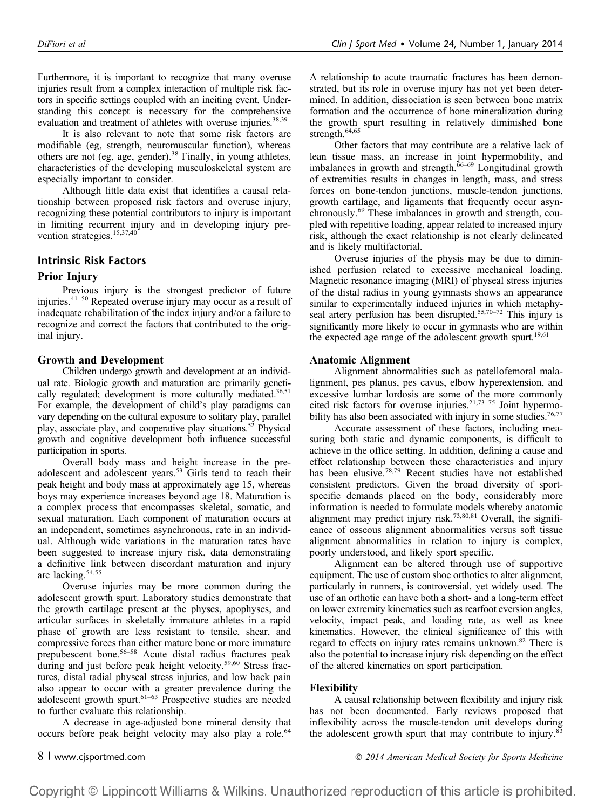Furthermore, it is important to recognize that many overuse injuries result from a complex interaction of multiple risk factors in specific settings coupled with an inciting event. Understanding this concept is necessary for the comprehensive evaluation and treatment of athletes with overuse injuries.<sup>38,39</sup>

It is also relevant to note that some risk factors are modifiable (eg, strength, neuromuscular function), whereas others are not (eg, age, gender).<sup>38</sup> Finally, in young athletes, characteristics of the developing musculoskeletal system are especially important to consider.

Although little data exist that identifies a causal relationship between proposed risk factors and overuse injury, recognizing these potential contributors to injury is important in limiting recurrent injury and in developing injury prevention strategies.<sup>15,37,40</sup>

## Intrinsic Risk Factors

### Prior Injury

Previous injury is the strongest predictor of future injuries.<sup>41</sup>–<sup>50</sup> Repeated overuse injury may occur as a result of inadequate rehabilitation of the index injury and/or a failure to recognize and correct the factors that contributed to the original injury.

### Growth and Development

Children undergo growth and development at an individual rate. Biologic growth and maturation are primarily genetically regulated; development is more culturally mediated.<sup>36,51</sup> For example, the development of child's play paradigms can vary depending on the cultural exposure to solitary play, parallel play, associate play, and cooperative play situations.52 Physical growth and cognitive development both influence successful participation in sports.

Overall body mass and height increase in the preadolescent and adolescent years.<sup>53</sup> Girls tend to reach their peak height and body mass at approximately age 15, whereas boys may experience increases beyond age 18. Maturation is a complex process that encompasses skeletal, somatic, and sexual maturation. Each component of maturation occurs at an independent, sometimes asynchronous, rate in an individual. Although wide variations in the maturation rates have been suggested to increase injury risk, data demonstrating a definitive link between discordant maturation and injury are lacking.<sup>54,55</sup>

Overuse injuries may be more common during the adolescent growth spurt. Laboratory studies demonstrate that the growth cartilage present at the physes, apophyses, and articular surfaces in skeletally immature athletes in a rapid phase of growth are less resistant to tensile, shear, and compressive forces than either mature bone or more immature prepubescent bone.<sup>56</sup>–<sup>58</sup> Acute distal radius fractures peak during and just before peak height velocity.<sup>59,60</sup> Stress fractures, distal radial physeal stress injuries, and low back pain also appear to occur with a greater prevalence during the adolescent growth spurt.<sup>61–63</sup> Prospective studies are needed to further evaluate this relationship.

A decrease in age-adjusted bone mineral density that occurs before peak height velocity may also play a role.<sup>64</sup>

A relationship to acute traumatic fractures has been demonstrated, but its role in overuse injury has not yet been determined. In addition, dissociation is seen between bone matrix formation and the occurrence of bone mineralization during the growth spurt resulting in relatively diminished bone strength.<sup>64,65</sup>

Other factors that may contribute are a relative lack of lean tissue mass, an increase in joint hypermobility, and imbalances in growth and strength.<sup>66-69</sup> Longitudinal growth of extremities results in changes in length, mass, and stress forces on bone-tendon junctions, muscle-tendon junctions, growth cartilage, and ligaments that frequently occur asynchronously.<sup>69</sup> These imbalances in growth and strength, coupled with repetitive loading, appear related to increased injury risk, although the exact relationship is not clearly delineated and is likely multifactorial.

Overuse injuries of the physis may be due to diminished perfusion related to excessive mechanical loading. Magnetic resonance imaging (MRI) of physeal stress injuries of the distal radius in young gymnasts shows an appearance similar to experimentally induced injuries in which metaphyseal artery perfusion has been disrupted.<sup>55,70–72</sup> This injury is significantly more likely to occur in gymnasts who are within the expected age range of the adolescent growth spurt.<sup>19,61</sup>

#### Anatomic Alignment

Alignment abnormalities such as patellofemoral malalignment, pes planus, pes cavus, elbow hyperextension, and excessive lumbar lordosis are some of the more commonly cited risk factors for overuse injuries.<sup>21,73–75</sup> Joint hypermobility has also been associated with injury in some studies.<sup>76,77</sup>

Accurate assessment of these factors, including measuring both static and dynamic components, is difficult to achieve in the office setting. In addition, defining a cause and effect relationship between these characteristics and injury has been elusive.78,79 Recent studies have not established consistent predictors. Given the broad diversity of sportspecific demands placed on the body, considerably more information is needed to formulate models whereby anatomic alignment may predict injury risk.73,80,81 Overall, the significance of osseous alignment abnormalities versus soft tissue alignment abnormalities in relation to injury is complex, poorly understood, and likely sport specific.

Alignment can be altered through use of supportive equipment. The use of custom shoe orthotics to alter alignment, particularly in runners, is controversial, yet widely used. The use of an orthotic can have both a short- and a long-term effect on lower extremity kinematics such as rearfoot eversion angles, velocity, impact peak, and loading rate, as well as knee kinematics. However, the clinical significance of this with regard to effects on injury rates remains unknown.<sup>82</sup> There is also the potential to increase injury risk depending on the effect of the altered kinematics on sport participation.

#### Flexibility

A causal relationship between flexibility and injury risk has not been documented. Early reviews proposed that inflexibility across the muscle-tendon unit develops during the adolescent growth spurt that may contribute to injury.<sup>8</sup>

 $8<sup>-1</sup>$  www.cjsportmed.com

2014 American Medical Society for Sports Medicine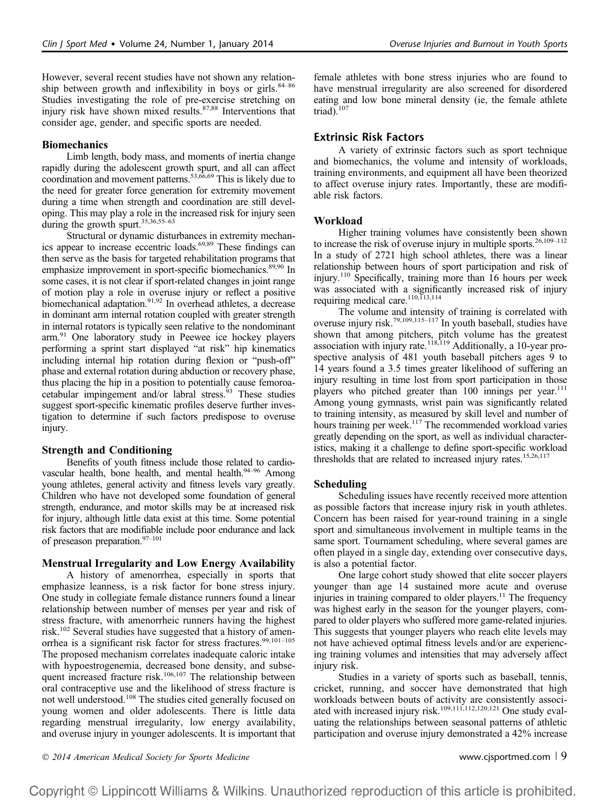However, several recent studies have not shown any relationship between growth and inflexibility in boys or girls.<sup>84-86</sup> Studies investigating the role of pre-exercise stretching on injury risk have shown mixed results.87,88 Interventions that consider age, gender, and specific sports are needed.

### Biomechanics

Limb length, body mass, and moments of inertia change rapidly during the adolescent growth spurt, and all can affect coordination and movement patterns.<sup>53,66,69</sup> This is likely due to the need for greater force generation for extremity movement during a time when strength and coordination are still developing. This may play a role in the increased risk for injury seen during the growth spurt. $35,36,55-63$ 

Structural or dynamic disturbances in extremity mechanics appear to increase eccentric loads.69,89 These findings can then serve as the basis for targeted rehabilitation programs that emphasize improvement in sport-specific biomechanics.<sup>89,90</sup> In some cases, it is not clear if sport-related changes in joint range of motion play a role in overuse injury or reflect a positive biomechanical adaptation.<sup>91,92</sup> In overhead athletes, a decrease in dominant arm internal rotation coupled with greater strength in internal rotators is typically seen relative to the nondominant arm.91 One laboratory study in Peewee ice hockey players performing a sprint start displayed "at risk" hip kinematics including internal hip rotation during flexion or "push-off" phase and external rotation during abduction or recovery phase, thus placing the hip in a position to potentially cause femoroacetabular impingement and/or labral stress.<sup>53</sup> These studies suggest sport-specific kinematic profiles deserve further investigation to determine if such factors predispose to overuse injury.

#### Strength and Conditioning

Benefits of youth fitness include those related to cardiovascular health, bone health, and mental health.<sup>94–96</sup> Among young athletes, general activity and fitness levels vary greatly. Children who have not developed some foundation of general strength, endurance, and motor skills may be at increased risk for injury, although little data exist at this time. Some potential risk factors that are modifiable include poor endurance and lack of preseason preparation.<sup>97-101</sup>

#### Menstrual Irregularity and Low Energy Availability

A history of amenorrhea, especially in sports that emphasize leanness, is a risk factor for bone stress injury. One study in collegiate female distance runners found a linear relationship between number of menses per year and risk of stress fracture, with amenorrheic runners having the highest risk.<sup>102</sup> Several studies have suggested that a history of amenorrhea is a significant risk factor for stress fractures.<sup>99,101-105</sup> The proposed mechanism correlates inadequate caloric intake with hypoestrogenemia, decreased bone density, and subsequent increased fracture risk.<sup>106,107</sup> The relationship between oral contraceptive use and the likelihood of stress fracture is not well understood.<sup>108</sup> The studies cited generally focused on young women and older adolescents. There is little data regarding menstrual irregularity, low energy availability, and overuse injury in younger adolescents. It is important that

female athletes with bone stress injuries who are found to have menstrual irregularity are also screened for disordered eating and low bone mineral density (ie, the female athlete triad). $107$ 

#### Extrinsic Risk Factors

A variety of extrinsic factors such as sport technique and biomechanics, the volume and intensity of workloads, training environments, and equipment all have been theorized to affect overuse injury rates. Importantly, these are modifiable risk factors.

#### Workload

Higher training volumes have consistently been shown to increase the risk of overuse injury in multiple sports.<sup>26,109–112</sup> In a study of 2721 high school athletes, there was a linear relationship between hours of sport participation and risk of injury.<sup>110</sup> Specifically, training more than 16 hours per week was associated with a significantly increased risk of injury requiring medical care.<sup>110,113,114</sup>

The volume and intensity of training is correlated with overuse injury risk.<sup>79,109,115–117</sup> In youth baseball, studies have shown that among pitchers, pitch volume has the greatest association with injury rate.<sup>118,119</sup> Additionally, a 10-year prospective analysis of 481 youth baseball pitchers ages 9 to 14 years found a 3.5 times greater likelihood of suffering an injury resulting in time lost from sport participation in those players who pitched greater than  $100$  innings per year.<sup>111</sup> Among young gymnasts, wrist pain was significantly related to training intensity, as measured by skill level and number of hours training per week.<sup>117</sup> The recommended workload varies greatly depending on the sport, as well as individual characteristics, making it a challenge to define sport-specific workload thresholds that are related to increased injury rates.<sup>15,26,117</sup>

#### Scheduling

Scheduling issues have recently received more attention as possible factors that increase injury risk in youth athletes. Concern has been raised for year-round training in a single sport and simultaneous involvement in multiple teams in the same sport. Tournament scheduling, where several games are often played in a single day, extending over consecutive days, is also a potential factor.

One large cohort study showed that elite soccer players younger than age 14 sustained more acute and overuse injuries in training compared to older players.<sup>11</sup> The frequency was highest early in the season for the younger players, compared to older players who suffered more game-related injuries. This suggests that younger players who reach elite levels may not have achieved optimal fitness levels and/or are experiencing training volumes and intensities that may adversely affect injury risk.

Studies in a variety of sports such as baseball, tennis, cricket, running, and soccer have demonstrated that high workloads between bouts of activity are consistently associated with increased injury risk.<sup>109,111,112,120,121</sup> One study evaluating the relationships between seasonal patterns of athletic participation and overuse injury demonstrated a 42% increase

© 2014 American Medical Society for Sports Medicine www.cjsportmed.com | 9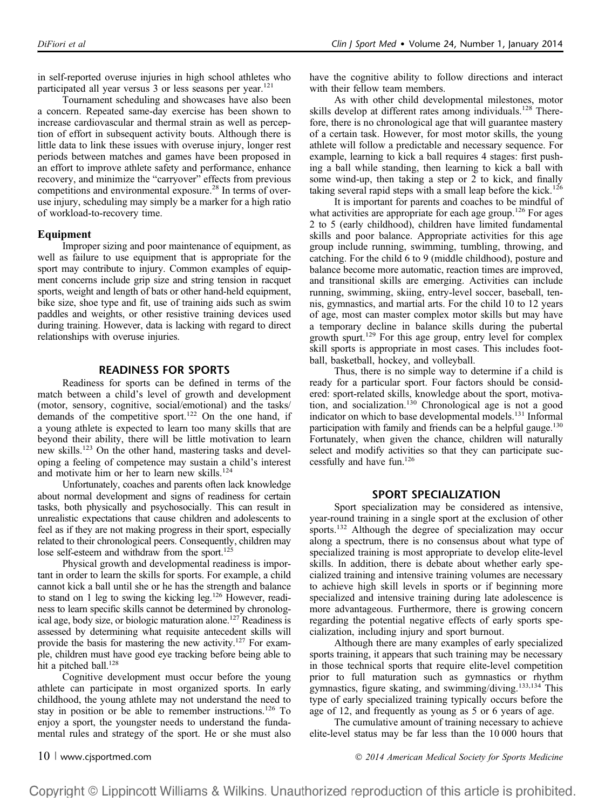in self-reported overuse injuries in high school athletes who participated all year versus  $3$  or less seasons per year.<sup>121</sup>

Tournament scheduling and showcases have also been a concern. Repeated same-day exercise has been shown to increase cardiovascular and thermal strain as well as perception of effort in subsequent activity bouts. Although there is little data to link these issues with overuse injury, longer rest periods between matches and games have been proposed in an effort to improve athlete safety and performance, enhance recovery, and minimize the "carryover" effects from previous competitions and environmental exposure.<sup>28</sup> In terms of overuse injury, scheduling may simply be a marker for a high ratio of workload-to-recovery time.

#### Equipment

Improper sizing and poor maintenance of equipment, as well as failure to use equipment that is appropriate for the sport may contribute to injury. Common examples of equipment concerns include grip size and string tension in racquet sports, weight and length of bats or other hand-held equipment, bike size, shoe type and fit, use of training aids such as swim paddles and weights, or other resistive training devices used during training. However, data is lacking with regard to direct relationships with overuse injuries.

#### READINESS FOR SPORTS

Readiness for sports can be defined in terms of the match between a child's level of growth and development (motor, sensory, cognitive, social/emotional) and the tasks/ demands of the competitive sport.<sup>122</sup> On the one hand, if a young athlete is expected to learn too many skills that are beyond their ability, there will be little motivation to learn new skills.<sup>123</sup> On the other hand, mastering tasks and developing a feeling of competence may sustain a child's interest and motivate him or her to learn new skills.<sup>124</sup>

Unfortunately, coaches and parents often lack knowledge about normal development and signs of readiness for certain tasks, both physically and psychosocially. This can result in unrealistic expectations that cause children and adolescents to feel as if they are not making progress in their sport, especially related to their chronological peers. Consequently, children may lose self-esteem and withdraw from the sport. $125$ 

Physical growth and developmental readiness is important in order to learn the skills for sports. For example, a child cannot kick a ball until she or he has the strength and balance to stand on 1 leg to swing the kicking leg.<sup>126</sup> However, readiness to learn specific skills cannot be determined by chronological age, body size, or biologic maturation alone.127 Readiness is assessed by determining what requisite antecedent skills will provide the basis for mastering the new activity.<sup>127</sup> For example, children must have good eye tracking before being able to hit a pitched ball.<sup>128</sup>

Cognitive development must occur before the young athlete can participate in most organized sports. In early childhood, the young athlete may not understand the need to stay in position or be able to remember instructions.<sup>126</sup> To enjoy a sport, the youngster needs to understand the fundamental rules and strategy of the sport. He or she must also have the cognitive ability to follow directions and interact with their fellow team members.

As with other child developmental milestones, motor skills develop at different rates among individuals.<sup>128</sup> Therefore, there is no chronological age that will guarantee mastery of a certain task. However, for most motor skills, the young athlete will follow a predictable and necessary sequence. For example, learning to kick a ball requires 4 stages: first pushing a ball while standing, then learning to kick a ball with some wind-up, then taking a step or 2 to kick, and finally taking several rapid steps with a small leap before the kick.<sup>126</sup>

It is important for parents and coaches to be mindful of what activities are appropriate for each age group.<sup>126</sup> For ages 2 to 5 (early childhood), children have limited fundamental skills and poor balance. Appropriate activities for this age group include running, swimming, tumbling, throwing, and catching. For the child 6 to 9 (middle childhood), posture and balance become more automatic, reaction times are improved, and transitional skills are emerging. Activities can include running, swimming, skiing, entry-level soccer, baseball, tennis, gymnastics, and martial arts. For the child 10 to 12 years of age, most can master complex motor skills but may have a temporary decline in balance skills during the pubertal growth spurt.<sup>129</sup> For this age group, entry level for complex skill sports is appropriate in most cases. This includes football, basketball, hockey, and volleyball.

Thus, there is no simple way to determine if a child is ready for a particular sport. Four factors should be considered: sport-related skills, knowledge about the sport, motivation, and socialization.<sup>130</sup> Chronological age is not a good indicator on which to base developmental models.<sup>131</sup> Informal participation with family and friends can be a helpful gauge.<sup>130</sup> Fortunately, when given the chance, children will naturally select and modify activities so that they can participate successfully and have fun.126

#### SPORT SPECIALIZATION

Sport specialization may be considered as intensive, year-round training in a single sport at the exclusion of other sports.<sup>132</sup> Although the degree of specialization may occur along a spectrum, there is no consensus about what type of specialized training is most appropriate to develop elite-level skills. In addition, there is debate about whether early specialized training and intensive training volumes are necessary to achieve high skill levels in sports or if beginning more specialized and intensive training during late adolescence is more advantageous. Furthermore, there is growing concern regarding the potential negative effects of early sports specialization, including injury and sport burnout.

Although there are many examples of early specialized sports training, it appears that such training may be necessary in those technical sports that require elite-level competition prior to full maturation such as gymnastics or rhythm gymnastics, figure skating, and swimming/diving.133,134 This type of early specialized training typically occurs before the age of 12, and frequently as young as 5 or 6 years of age.

The cumulative amount of training necessary to achieve elite-level status may be far less than the 10 000 hours that

 $10<sup>-1</sup>$  www.cjsportmed.com

2014 American Medical Society for Sports Medicine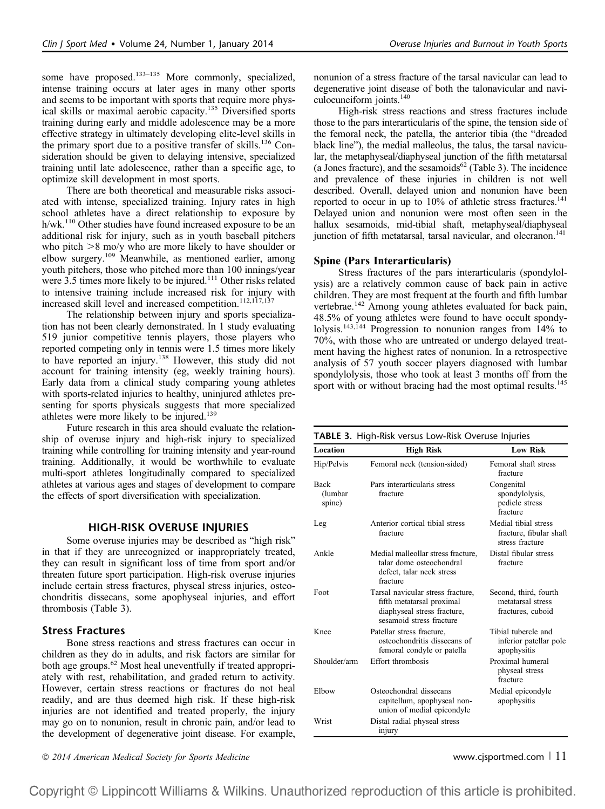some have proposed. $133-135$  More commonly, specialized, intense training occurs at later ages in many other sports and seems to be important with sports that require more physical skills or maximal aerobic capacity.<sup>135</sup> Diversified sports training during early and middle adolescence may be a more effective strategy in ultimately developing elite-level skills in the primary sport due to a positive transfer of skills.<sup>136</sup> Consideration should be given to delaying intensive, specialized training until late adolescence, rather than a specific age, to optimize skill development in most sports.

There are both theoretical and measurable risks associated with intense, specialized training. Injury rates in high school athletes have a direct relationship to exposure by  $h/wk$ <sup>110</sup> Other studies have found increased exposure to be an additional risk for injury, such as in youth baseball pitchers who pitch  $>8$  mo/y who are more likely to have shoulder or elbow surgery.<sup>109</sup> Meanwhile, as mentioned earlier, among youth pitchers, those who pitched more than 100 innings/year were 3.5 times more likely to be injured.<sup>111</sup> Other risks related to intensive training include increased risk for injury with increased skill level and increased competition.<sup>112,117,137</sup>

The relationship between injury and sports specialization has not been clearly demonstrated. In 1 study evaluating 519 junior competitive tennis players, those players who reported competing only in tennis were 1.5 times more likely to have reported an injury.<sup>138</sup> However, this study did not account for training intensity (eg, weekly training hours). Early data from a clinical study comparing young athletes with sports-related injuries to healthy, uninjured athletes presenting for sports physicals suggests that more specialized athletes were more likely to be injured.<sup>139</sup>

Future research in this area should evaluate the relationship of overuse injury and high-risk injury to specialized training while controlling for training intensity and year-round training. Additionally, it would be worthwhile to evaluate multi-sport athletes longitudinally compared to specialized athletes at various ages and stages of development to compare the effects of sport diversification with specialization.

#### HIGH-RISK OVERUSE INJURIES

Some overuse injuries may be described as "high risk" in that if they are unrecognized or inappropriately treated, they can result in significant loss of time from sport and/or threaten future sport participation. High-risk overuse injuries include certain stress fractures, physeal stress injuries, osteochondritis dissecans, some apophyseal injuries, and effort thrombosis (Table 3).

#### Stress Fractures

Bone stress reactions and stress fractures can occur in children as they do in adults, and risk factors are similar for both age groups.<sup>62</sup> Most heal uneventfully if treated appropriately with rest, rehabilitation, and graded return to activity. However, certain stress reactions or fractures do not heal readily, and are thus deemed high risk. If these high-risk injuries are not identified and treated properly, the injury may go on to nonunion, result in chronic pain, and/or lead to the development of degenerative joint disease. For example,

© 2014 American Medical Society for Sports Medicine www.cjsportmed.com | 11

nonunion of a stress fracture of the tarsal navicular can lead to degenerative joint disease of both the talonavicular and naviculocuneiform joints. $140$ 

High-risk stress reactions and stress fractures include those to the pars interarticularis of the spine, the tension side of the femoral neck, the patella, the anterior tibia (the "dreaded black line"), the medial malleolus, the talus, the tarsal navicular, the metaphyseal/diaphyseal junction of the fifth metatarsal (a Jones fracture), and the sesamoids $62$  (Table 3). The incidence and prevalence of these injuries in children is not well described. Overall, delayed union and nonunion have been reported to occur in up to  $10\%$  of athletic stress fractures.<sup>141</sup> Delayed union and nonunion were most often seen in the hallux sesamoids, mid-tibial shaft, metaphyseal/diaphyseal junction of fifth metatarsal, tarsal navicular, and olecranon.<sup>141</sup>

#### Spine (Pars Interarticularis)

Stress fractures of the pars interarticularis (spondylolysis) are a relatively common cause of back pain in active children. They are most frequent at the fourth and fifth lumbar vertebrae.<sup>142</sup> Among young athletes evaluated for back pain, 48.5% of young athletes were found to have occult spondylolysis.<sup>143,144</sup> Progression to nonunion ranges from 14% to 70%, with those who are untreated or undergo delayed treatment having the highest rates of nonunion. In a retrospective analysis of 57 youth soccer players diagnosed with lumbar spondylolysis, those who took at least 3 months off from the sport with or without bracing had the most optimal results.<sup>145</sup>

| Location                  | <b>High Risk</b>                                                                                                          | <b>Low Risk</b>                                                    |
|---------------------------|---------------------------------------------------------------------------------------------------------------------------|--------------------------------------------------------------------|
|                           |                                                                                                                           |                                                                    |
| Hip/Pelvis                | Femoral neck (tension-sided)                                                                                              | Femoral shaft stress<br>fracture                                   |
| Back<br>(lumbar<br>spine) | Pars interarticularis stress<br>fracture                                                                                  | Congenital<br>spondylolysis,<br>pedicle stress<br>fracture         |
| Leg                       | Anterior cortical tibial stress<br>fracture                                                                               | Medial tibial stress<br>fracture, fibular shaft<br>stress fracture |
| Ankle                     | Medial malleollar stress fracture,<br>talar dome osteochondral<br>defect, talar neck stress<br>fracture                   | Distal fibular stress<br>fracture                                  |
| Foot                      | Tarsal navicular stress fracture,<br>fifth metatarsal proximal<br>diaphyseal stress fracture,<br>sesamoid stress fracture | Second, third, fourth<br>metatarsal stress<br>fractures, cuboid    |
| Knee                      | Patellar stress fracture,<br>osteochondritis dissecans of<br>femoral condyle or patella                                   | Tibial tubercle and<br>inferior patellar pole<br>apophysitis       |
| Shoulder/arm              | Effort thrombosis                                                                                                         | Proximal humeral<br>physeal stress<br>fracture                     |
| Elbow                     | Osteochondral dissecans<br>capitellum, apophyseal non-<br>union of medial epicondyle                                      | Medial epicondyle<br>apophysitis                                   |
| Wrist                     | Distal radial physeal stress<br>injury                                                                                    |                                                                    |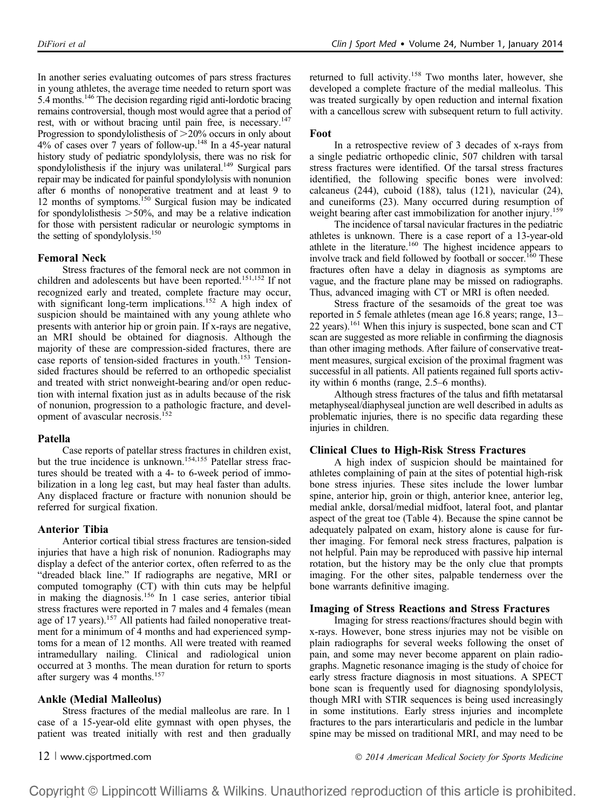In another series evaluating outcomes of pars stress fractures in young athletes, the average time needed to return sport was 5.4 months.146 The decision regarding rigid anti-lordotic bracing remains controversial, though most would agree that a period of rest, with or without bracing until pain free, is necessary.<sup>147</sup> Progression to spondylolisthesis of  $>20\%$  occurs in only about 4% of cases over 7 years of follow-up.148 In a 45-year natural history study of pediatric spondylolysis, there was no risk for spondylolisthesis if the injury was unilateral.<sup>149</sup> Surgical pars repair may be indicated for painful spondylolysis with nonunion after 6 months of nonoperative treatment and at least 9 to 12 months of symptoms. $150$  Surgical fusion may be indicated for spondylolisthesis  $>50\%$ , and may be a relative indication for those with persistent radicular or neurologic symptoms in the setting of spondylolysis. $150$ 

#### Femoral Neck

Stress fractures of the femoral neck are not common in children and adolescents but have been reported.<sup>151,152</sup> If not recognized early and treated, complete fracture may occur, with significant long-term implications.<sup>152</sup> A high index of suspicion should be maintained with any young athlete who presents with anterior hip or groin pain. If x-rays are negative, an MRI should be obtained for diagnosis. Although the majority of these are compression-sided fractures, there are case reports of tension-sided fractures in youth.<sup>153</sup> Tensionsided fractures should be referred to an orthopedic specialist and treated with strict nonweight-bearing and/or open reduction with internal fixation just as in adults because of the risk of nonunion, progression to a pathologic fracture, and development of avascular necrosis.<sup>152</sup>

#### Patella

Case reports of patellar stress fractures in children exist, but the true incidence is unknown.<sup>154,155</sup> Patellar stress fractures should be treated with a 4- to 6-week period of immobilization in a long leg cast, but may heal faster than adults. Any displaced fracture or fracture with nonunion should be referred for surgical fixation.

#### Anterior Tibia

Anterior cortical tibial stress fractures are tension-sided injuries that have a high risk of nonunion. Radiographs may display a defect of the anterior cortex, often referred to as the "dreaded black line." If radiographs are negative, MRI or computed tomography (CT) with thin cuts may be helpful in making the diagnosis.<sup>156</sup> In 1 case series, anterior tibial stress fractures were reported in 7 males and 4 females (mean age of 17 years).<sup>157</sup> All patients had failed nonoperative treatment for a minimum of 4 months and had experienced symptoms for a mean of 12 months. All were treated with reamed intramedullary nailing. Clinical and radiological union occurred at 3 months. The mean duration for return to sports after surgery was 4 months.<sup>157</sup>

#### Ankle (Medial Malleolus)

Stress fractures of the medial malleolus are rare. In 1 case of a 15-year-old elite gymnast with open physes, the patient was treated initially with rest and then gradually returned to full activity.<sup>158</sup> Two months later, however, she developed a complete fracture of the medial malleolus. This was treated surgically by open reduction and internal fixation with a cancellous screw with subsequent return to full activity.

#### Foot

In a retrospective review of 3 decades of x-rays from a single pediatric orthopedic clinic, 507 children with tarsal stress fractures were identified. Of the tarsal stress fractures identified, the following specific bones were involved: calcaneus (244), cuboid (188), talus (121), navicular (24), and cuneiforms (23). Many occurred during resumption of weight bearing after cast immobilization for another injury.<sup>159</sup>

The incidence of tarsal navicular fractures in the pediatric athletes is unknown. There is a case report of a 13-year-old athlete in the literature.<sup>160</sup> The highest incidence appears to involve track and field followed by football or soccer.<sup>160</sup> These fractures often have a delay in diagnosis as symptoms are vague, and the fracture plane may be missed on radiographs. Thus, advanced imaging with CT or MRI is often needed.

Stress fracture of the sesamoids of the great toe was reported in 5 female athletes (mean age 16.8 years; range, 13– 22 years).<sup>161</sup> When this injury is suspected, bone scan and CT scan are suggested as more reliable in confirming the diagnosis than other imaging methods. After failure of conservative treatment measures, surgical excision of the proximal fragment was successful in all patients. All patients regained full sports activity within 6 months (range, 2.5–6 months).

Although stress fractures of the talus and fifth metatarsal metaphyseal/diaphyseal junction are well described in adults as problematic injuries, there is no specific data regarding these injuries in children.

#### Clinical Clues to High-Risk Stress Fractures

A high index of suspicion should be maintained for athletes complaining of pain at the sites of potential high-risk bone stress injuries. These sites include the lower lumbar spine, anterior hip, groin or thigh, anterior knee, anterior leg, medial ankle, dorsal/medial midfoot, lateral foot, and plantar aspect of the great toe (Table 4). Because the spine cannot be adequately palpated on exam, history alone is cause for further imaging. For femoral neck stress fractures, palpation is not helpful. Pain may be reproduced with passive hip internal rotation, but the history may be the only clue that prompts imaging. For the other sites, palpable tenderness over the bone warrants definitive imaging.

#### Imaging of Stress Reactions and Stress Fractures

Imaging for stress reactions/fractures should begin with x-rays. However, bone stress injuries may not be visible on plain radiographs for several weeks following the onset of pain, and some may never become apparent on plain radiographs. Magnetic resonance imaging is the study of choice for early stress fracture diagnosis in most situations. A SPECT bone scan is frequently used for diagnosing spondylolysis, though MRI with STIR sequences is being used increasingly in some institutions. Early stress injuries and incomplete fractures to the pars interarticularis and pedicle in the lumbar spine may be missed on traditional MRI, and may need to be

 $12 \perp$  www.cjsportmed.com

2014 American Medical Society for Sports Medicine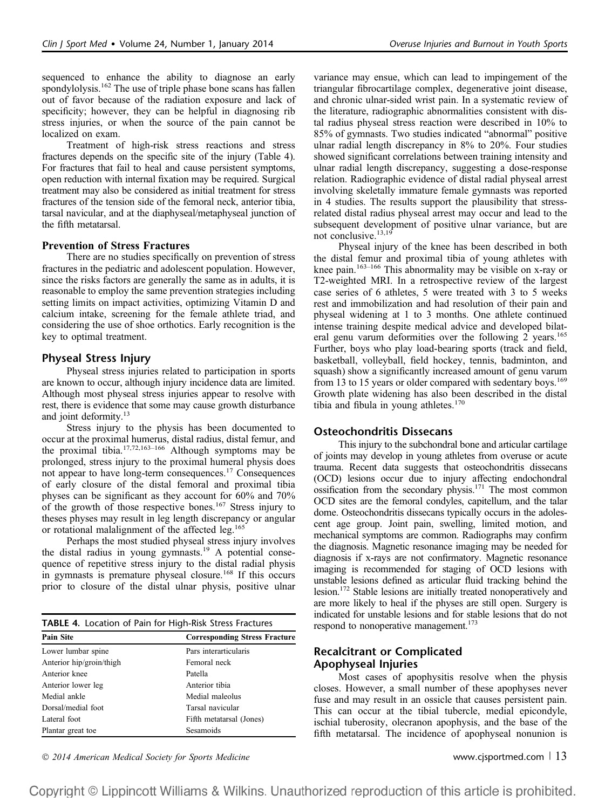sequenced to enhance the ability to diagnose an early spondylolysis.<sup>162</sup> The use of triple phase bone scans has fallen out of favor because of the radiation exposure and lack of specificity; however, they can be helpful in diagnosing rib stress injuries, or when the source of the pain cannot be localized on exam.

Treatment of high-risk stress reactions and stress fractures depends on the specific site of the injury (Table 4). For fractures that fail to heal and cause persistent symptoms, open reduction with internal fixation may be required. Surgical treatment may also be considered as initial treatment for stress fractures of the tension side of the femoral neck, anterior tibia, tarsal navicular, and at the diaphyseal/metaphyseal junction of the fifth metatarsal.

### Prevention of Stress Fractures

There are no studies specifically on prevention of stress fractures in the pediatric and adolescent population. However, since the risks factors are generally the same as in adults, it is reasonable to employ the same prevention strategies including setting limits on impact activities, optimizing Vitamin D and calcium intake, screening for the female athlete triad, and considering the use of shoe orthotics. Early recognition is the key to optimal treatment.

### Physeal Stress Injury

Physeal stress injuries related to participation in sports are known to occur, although injury incidence data are limited. Although most physeal stress injuries appear to resolve with rest, there is evidence that some may cause growth disturbance and joint deformity.<sup>13</sup>

Stress injury to the physis has been documented to occur at the proximal humerus, distal radius, distal femur, and the proximal tibia.17,72,163–<sup>166</sup> Although symptoms may be prolonged, stress injury to the proximal humeral physis does not appear to have long-term consequences.<sup>17</sup> Consequences of early closure of the distal femoral and proximal tibia physes can be significant as they account for 60% and 70% of the growth of those respective bones.<sup>167</sup> Stress injury to theses physes may result in leg length discrepancy or angular or rotational malalignment of the affected leg.<sup>165</sup>

Perhaps the most studied physeal stress injury involves the distal radius in young gymnasts.<sup>19</sup> A potential consequence of repetitive stress injury to the distal radial physis in gymnasts is premature physeal closure.<sup>168</sup> If this occurs prior to closure of the distal ulnar physis, positive ulnar

| TABLE 4. Location of Pain for High-Risk Stress Fractures |
|----------------------------------------------------------|
|----------------------------------------------------------|

| <b>Pain Site</b>         | <b>Corresponding Stress Fracture</b> |  |
|--------------------------|--------------------------------------|--|
| Lower lumbar spine       | Pars interarticularis                |  |
| Anterior hip/groin/thigh | Femoral neck                         |  |
| Anterior knee            | Patella                              |  |
| Anterior lower leg       | Anterior tibia                       |  |
| Medial ankle             | Medial maleolus                      |  |
| Dorsal/medial foot       | Tarsal navicular                     |  |
| Lateral foot             | Fifth metatarsal (Jones)             |  |
| Plantar great toe        | Sesamoids                            |  |

© 2014 American Medical Society for Sports Medicine www.cjsportmed.com | 13

variance may ensue, which can lead to impingement of the triangular fibrocartilage complex, degenerative joint disease, and chronic ulnar-sided wrist pain. In a systematic review of the literature, radiographic abnormalities consistent with distal radius physeal stress reaction were described in 10% to 85% of gymnasts. Two studies indicated "abnormal" positive ulnar radial length discrepancy in 8% to 20%. Four studies showed significant correlations between training intensity and ulnar radial length discrepancy, suggesting a dose-response relation. Radiographic evidence of distal radial physeal arrest involving skeletally immature female gymnasts was reported in 4 studies. The results support the plausibility that stressrelated distal radius physeal arrest may occur and lead to the subsequent development of positive ulnar variance, but are not conclusive.<sup>13,19</sup>

Physeal injury of the knee has been described in both the distal femur and proximal tibia of young athletes with knee pain.<sup>163</sup>–<sup>166</sup> This abnormality may be visible on x-ray or T2-weighted MRI. In a retrospective review of the largest case series of 6 athletes, 5 were treated with 3 to 5 weeks rest and immobilization and had resolution of their pain and physeal widening at 1 to 3 months. One athlete continued intense training despite medical advice and developed bilateral genu varum deformities over the following 2 years.<sup>165</sup> Further, boys who play load-bearing sports (track and field, basketball, volleyball, field hockey, tennis, badminton, and squash) show a significantly increased amount of genu varum from 13 to 15 years or older compared with sedentary boys.<sup>169</sup> Growth plate widening has also been described in the distal tibia and fibula in young athletes. $170$ 

### Osteochondritis Dissecans

This injury to the subchondral bone and articular cartilage of joints may develop in young athletes from overuse or acute trauma. Recent data suggests that osteochondritis dissecans (OCD) lesions occur due to injury affecting endochondral ossification from the secondary physis.<sup>171</sup> The most common OCD sites are the femoral condyles, capitellum, and the talar dome. Osteochondritis dissecans typically occurs in the adolescent age group. Joint pain, swelling, limited motion, and mechanical symptoms are common. Radiographs may confirm the diagnosis. Magnetic resonance imaging may be needed for diagnosis if x-rays are not confirmatory. Magnetic resonance imaging is recommended for staging of OCD lesions with unstable lesions defined as articular fluid tracking behind the lesion.172 Stable lesions are initially treated nonoperatively and are more likely to heal if the physes are still open. Surgery is indicated for unstable lesions and for stable lesions that do not respond to nonoperative management.<sup>173</sup>

## Recalcitrant or Complicated Apophyseal Injuries

Most cases of apophysitis resolve when the physis closes. However, a small number of these apophyses never fuse and may result in an ossicle that causes persistent pain. This can occur at the tibial tubercle, medial epicondyle, ischial tuberosity, olecranon apophysis, and the base of the fifth metatarsal. The incidence of apophyseal nonunion is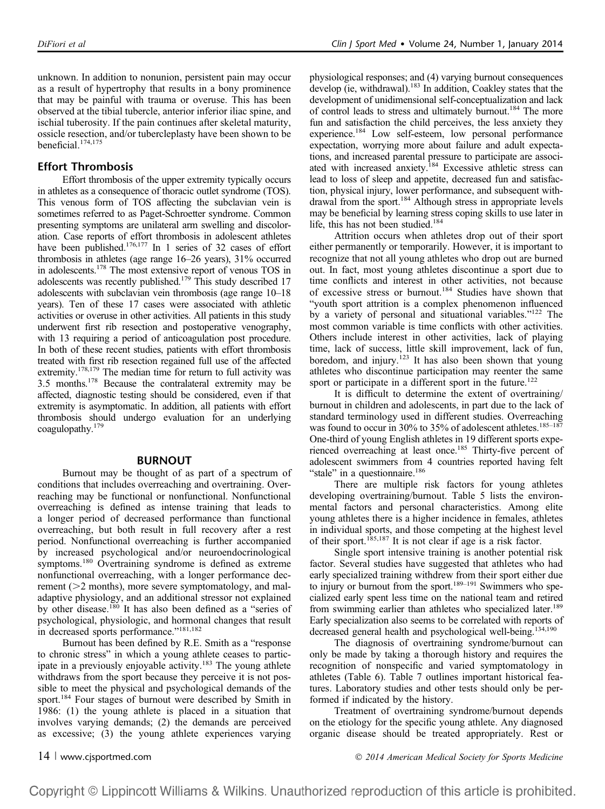unknown. In addition to nonunion, persistent pain may occur as a result of hypertrophy that results in a bony prominence that may be painful with trauma or overuse. This has been observed at the tibial tubercle, anterior inferior iliac spine, and ischial tuberosity. If the pain continues after skeletal maturity, ossicle resection, and/or tubercleplasty have been shown to be beneficial.174,175

### Effort Thrombosis

Effort thrombosis of the upper extremity typically occurs in athletes as a consequence of thoracic outlet syndrome (TOS). This venous form of TOS affecting the subclavian vein is sometimes referred to as Paget-Schroetter syndrome. Common presenting symptoms are unilateral arm swelling and discoloration. Case reports of effort thrombosis in adolescent athletes have been published.<sup>176,177</sup> In 1 series of 32 cases of effort thrombosis in athletes (age range 16–26 years), 31% occurred in adolescents.178 The most extensive report of venous TOS in adolescents was recently published.179 This study described 17 adolescents with subclavian vein thrombosis (age range 10–18 years). Ten of these 17 cases were associated with athletic activities or overuse in other activities. All patients in this study underwent first rib resection and postoperative venography, with 13 requiring a period of anticoagulation post procedure. In both of these recent studies, patients with effort thrombosis treated with first rib resection regained full use of the affected extremity.<sup>178,179</sup> The median time for return to full activity was 3.5 months.<sup>178</sup> Because the contralateral extremity may be affected, diagnostic testing should be considered, even if that extremity is asymptomatic. In addition, all patients with effort thrombosis should undergo evaluation for an underlying coagulopathy. $179$ 

#### BURNOUT

Burnout may be thought of as part of a spectrum of conditions that includes overreaching and overtraining. Overreaching may be functional or nonfunctional. Nonfunctional overreaching is defined as intense training that leads to a longer period of decreased performance than functional overreaching, but both result in full recovery after a rest period. Nonfunctional overreaching is further accompanied by increased psychological and/or neuroendocrinological symptoms.<sup>180</sup> Overtraining syndrome is defined as extreme nonfunctional overreaching, with a longer performance decrement  $(>= 2 \text{ months})$ , more severe symptomatology, and maladaptive physiology, and an additional stressor not explained by other disease.<sup>180</sup> It has also been defined as a "series of psychological, physiologic, and hormonal changes that result in decreased sports performance."<sup>181,182</sup>

Burnout has been defined by R.E. Smith as a "response to chronic stress" in which a young athlete ceases to participate in a previously enjoyable activity.<sup>183</sup> The young athlete withdraws from the sport because they perceive it is not possible to meet the physical and psychological demands of the sport.<sup>184</sup> Four stages of burnout were described by Smith in 1986: (1) the young athlete is placed in a situation that involves varying demands; (2) the demands are perceived as excessive; (3) the young athlete experiences varying physiological responses; and (4) varying burnout consequences develop (ie, withdrawal).<sup>183</sup> In addition, Coakley states that the development of unidimensional self-conceptualization and lack of control leads to stress and ultimately burnout.<sup>184</sup> The more fun and satisfaction the child perceives, the less anxiety they experience.<sup>184</sup> Low self-esteem, low personal performance expectation, worrying more about failure and adult expectations, and increased parental pressure to participate are associated with increased anxiety.<sup>184</sup> Excessive athletic stress can lead to loss of sleep and appetite, decreased fun and satisfaction, physical injury, lower performance, and subsequent withdrawal from the sport.184 Although stress in appropriate levels may be beneficial by learning stress coping skills to use later in life, this has not been studied.<sup>184</sup>

Attrition occurs when athletes drop out of their sport either permanently or temporarily. However, it is important to recognize that not all young athletes who drop out are burned out. In fact, most young athletes discontinue a sport due to time conflicts and interest in other activities, not because of excessive stress or burnout.<sup>184</sup> Studies have shown that "youth sport attrition is a complex phenomenon influenced by a variety of personal and situational variables."<sup>122</sup> The most common variable is time conflicts with other activities. Others include interest in other activities, lack of playing time, lack of success, little skill improvement, lack of fun, boredom, and injury.<sup>123</sup> It has also been shown that young athletes who discontinue participation may reenter the same sport or participate in a different sport in the future.<sup>122</sup>

It is difficult to determine the extent of overtraining/ burnout in children and adolescents, in part due to the lack of standard terminology used in different studies. Overreaching was found to occur in 30% to 35% of adolescent athletes.<sup>185–187</sup> One-third of young English athletes in 19 different sports experienced overreaching at least once.<sup>185</sup> Thirty-five percent of adolescent swimmers from 4 countries reported having felt "stale" in a questionnaire.<sup>186</sup>

There are multiple risk factors for young athletes developing overtraining/burnout. Table 5 lists the environmental factors and personal characteristics. Among elite young athletes there is a higher incidence in females, athletes in individual sports, and those competing at the highest level of their sport.<sup>185,187</sup> It is not clear if age is a risk factor.

Single sport intensive training is another potential risk factor. Several studies have suggested that athletes who had early specialized training withdrew from their sport either due to injury or burnout from the sport.<sup>189–191</sup> Swimmers who specialized early spent less time on the national team and retired from swimming earlier than athletes who specialized later.<sup>189</sup> Early specialization also seems to be correlated with reports of decreased general health and psychological well-being.<sup>134,190</sup>

The diagnosis of overtraining syndrome/burnout can only be made by taking a thorough history and requires the recognition of nonspecific and varied symptomatology in athletes (Table 6). Table 7 outlines important historical features. Laboratory studies and other tests should only be performed if indicated by the history.

Treatment of overtraining syndrome/burnout depends on the etiology for the specific young athlete. Any diagnosed organic disease should be treated appropriately. Rest or

14 <sup>|</sup> www.cjsportmed.com -

2014 American Medical Society for Sports Medicine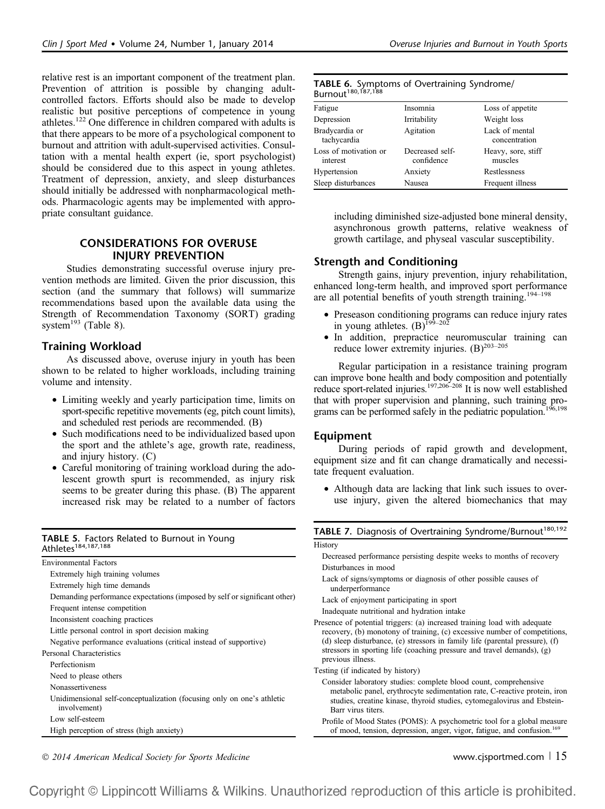relative rest is an important component of the treatment plan. Prevention of attrition is possible by changing adultcontrolled factors. Efforts should also be made to develop realistic but positive perceptions of competence in young athletes.<sup>122</sup> One difference in children compared with adults is that there appears to be more of a psychological component to burnout and attrition with adult-supervised activities. Consultation with a mental health expert (ie, sport psychologist) should be considered due to this aspect in young athletes. Treatment of depression, anxiety, and sleep disturbances should initially be addressed with nonpharmacological methods. Pharmacologic agents may be implemented with appropriate consultant guidance.

## CONSIDERATIONS FOR OVERUSE INJURY PREVENTION

Studies demonstrating successful overuse injury prevention methods are limited. Given the prior discussion, this section (and the summary that follows) will summarize recommendations based upon the available data using the Strength of Recommendation Taxonomy (SORT) grading system $193$  (Table 8).

## Training Workload

As discussed above, overuse injury in youth has been shown to be related to higher workloads, including training volume and intensity.

- Limiting weekly and yearly participation time, limits on sport-specific repetitive movements (eg, pitch count limits), and scheduled rest periods are recommended. (B)
- Such modifications need to be individualized based upon the sport and the athlete's age, growth rate, readiness, and injury history. (C)
- Careful monitoring of training workload during the adolescent growth spurt is recommended, as injury risk seems to be greater during this phase. (B) The apparent increased risk may be related to a number of factors

|                                 |  | TABLE 5. Factors Related to Burnout in Young |  |
|---------------------------------|--|----------------------------------------------|--|
| Athletes <sup>184,187,188</sup> |  |                                              |  |

| <b>Environmental Factors</b>                                                           |
|----------------------------------------------------------------------------------------|
| Extremely high training volumes                                                        |
| Extremely high time demands                                                            |
| Demanding performance expectations (imposed by self or significant other)              |
| Frequent intense competition                                                           |
| Inconsistent coaching practices                                                        |
| Little personal control in sport decision making                                       |
| Negative performance evaluations (critical instead of supportive)                      |
| Personal Characteristics                                                               |
| Perfectionism                                                                          |
| Need to please others                                                                  |
| Nonassertiveness                                                                       |
| Unidimensional self-conceptualization (focusing only on one's athletic<br>involvement) |
| Low self-esteem                                                                        |
| High perception of stress (high anxiety)                                               |
|                                                                                        |

| Burnout <sup>180,187,188</sup>    |                               |                                 |
|-----------------------------------|-------------------------------|---------------------------------|
| Fatigue                           | Insomnia                      | Loss of appetite                |
| Depression                        | Irritability                  | Weight loss                     |
| Bradycardia or<br>tachycardia     | Agitation                     | Lack of mental<br>concentration |
| Loss of motivation or<br>interest | Decreased self-<br>confidence | Heavy, sore, stiff<br>muscles   |
| Hypertension                      | Anxiety                       | Restlessness                    |
| Sleep disturbances                | Nausea                        | Frequent illness                |

TABLE 6. Symptoms of Overtraining Syndrome/

including diminished size-adjusted bone mineral density, asynchronous growth patterns, relative weakness of growth cartilage, and physeal vascular susceptibility.

## Strength and Conditioning

Strength gains, injury prevention, injury rehabilitation, enhanced long-term health, and improved sport performance are all potential benefits of youth strength training.<sup>194-198</sup>

- Preseason conditioning programs can reduce injury rates in young athletes.  $(B)^{199-202}$
- In addition, prepractice neuromuscular training can reduce lower extremity injuries.  $(B)^{203-205}$

Regular participation in a resistance training program can improve bone health and body composition and potentially reduce sport-related injuries.<sup>197,206–208</sup> It is now well established that with proper supervision and planning, such training programs can be performed safely in the pediatric population.<sup>196,198</sup>

### Equipment

During periods of rapid growth and development, equipment size and fit can change dramatically and necessitate frequent evaluation.

• Although data are lacking that link such issues to overuse injury, given the altered biomechanics that may

| TABLE 7. Diagnosis of Overtraining Syndrome/Burnout <sup>180,192</sup>                                                                                                                                                                                                                                                                |
|---------------------------------------------------------------------------------------------------------------------------------------------------------------------------------------------------------------------------------------------------------------------------------------------------------------------------------------|
| History                                                                                                                                                                                                                                                                                                                               |
| Decreased performance persisting despite weeks to months of recovery                                                                                                                                                                                                                                                                  |
| Disturbances in mood                                                                                                                                                                                                                                                                                                                  |
| Lack of signs/symptoms or diagnosis of other possible causes of<br>underperformance                                                                                                                                                                                                                                                   |
| Lack of enjoyment participating in sport                                                                                                                                                                                                                                                                                              |
| Inadequate nutritional and hydration intake                                                                                                                                                                                                                                                                                           |
| Presence of potential triggers: (a) increased training load with adequate<br>recovery, (b) monotony of training, (c) excessive number of competitions,<br>(d) sleep disturbance, (e) stressors in family life (parental pressure), (f)<br>stressors in sporting life (coaching pressure and travel demands), (g)<br>previous illness. |
| Testing (if indicated by history)                                                                                                                                                                                                                                                                                                     |
| Consider laboratory studies: complete blood count, comprehensive<br>metabolic panel, erythrocyte sedimentation rate, C-reactive protein, iron<br>studies, creatine kinase, thyroid studies, cytomegalovirus and Ebstein-<br>Barr virus titers                                                                                         |
| Profile of Mood States (POMS): A psychometric tool for a global measure<br>of mood, tension, depression, anger, vigor, fatigue, and confusion. <sup>169</sup>                                                                                                                                                                         |

© 2014 American Medical Society for Sports Medicine www.cjsportmed.com | 15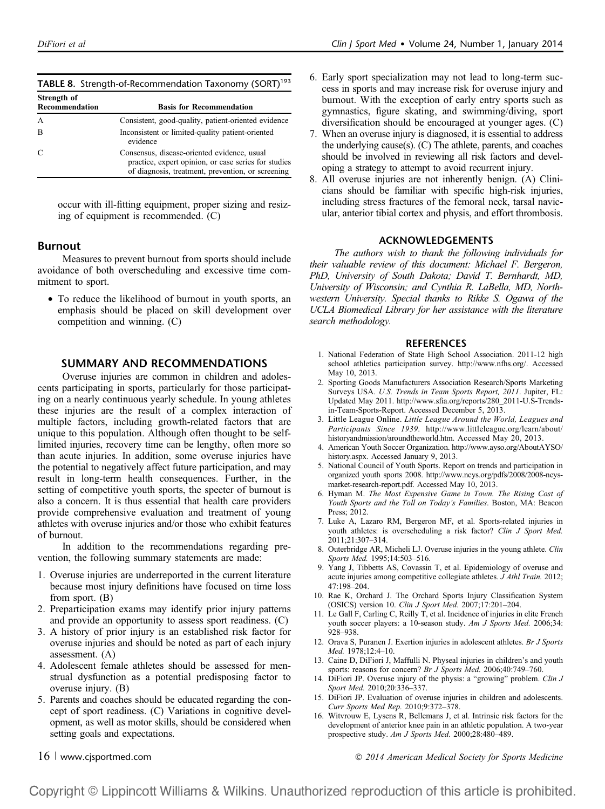| Strength of<br>Recommendation | <b>Basis for Recommendation</b>                                                                                                                          |
|-------------------------------|----------------------------------------------------------------------------------------------------------------------------------------------------------|
| А                             | Consistent, good-quality, patient-oriented evidence                                                                                                      |
|                               | Inconsistent or limited-quality patient-oriented<br>evidence                                                                                             |
|                               | Consensus, disease-oriented evidence, usual<br>practice, expert opinion, or case series for studies<br>of diagnosis, treatment, prevention, or screening |

TABLE 8. Strength-of-Recommendation Taxonomy (SORT)<sup>193</sup>

occur with ill-fitting equipment, proper sizing and resizing of equipment is recommended. (C)

#### **Burnout**

Measures to prevent burnout from sports should include avoidance of both overscheduling and excessive time commitment to sport.

• To reduce the likelihood of burnout in youth sports, an emphasis should be placed on skill development over competition and winning. (C)

#### SUMMARY AND RECOMMENDATIONS

Overuse injuries are common in children and adolescents participating in sports, particularly for those participating on a nearly continuous yearly schedule. In young athletes these injuries are the result of a complex interaction of multiple factors, including growth-related factors that are unique to this population. Although often thought to be selflimited injuries, recovery time can be lengthy, often more so than acute injuries. In addition, some overuse injuries have the potential to negatively affect future participation, and may result in long-term health consequences. Further, in the setting of competitive youth sports, the specter of burnout is also a concern. It is thus essential that health care providers provide comprehensive evaluation and treatment of young athletes with overuse injuries and/or those who exhibit features of burnout.

In addition to the recommendations regarding prevention, the following summary statements are made:

- 1. Overuse injuries are underreported in the current literature because most injury definitions have focused on time loss from sport. (B)
- 2. Preparticipation exams may identify prior injury patterns and provide an opportunity to assess sport readiness. (C)
- 3. A history of prior injury is an established risk factor for overuse injuries and should be noted as part of each injury assessment. (A)
- 4. Adolescent female athletes should be assessed for menstrual dysfunction as a potential predisposing factor to overuse injury. (B)
- 5. Parents and coaches should be educated regarding the concept of sport readiness. (C) Variations in cognitive development, as well as motor skills, should be considered when setting goals and expectations.
- 6. Early sport specialization may not lead to long-term success in sports and may increase risk for overuse injury and burnout. With the exception of early entry sports such as gymnastics, figure skating, and swimming/diving, sport diversification should be encouraged at younger ages. (C)
- 7. When an overuse injury is diagnosed, it is essential to address the underlying cause(s). (C) The athlete, parents, and coaches should be involved in reviewing all risk factors and developing a strategy to attempt to avoid recurrent injury.
- 8. All overuse injuries are not inherently benign. (A) Clinicians should be familiar with specific high-risk injuries, including stress fractures of the femoral neck, tarsal navicular, anterior tibial cortex and physis, and effort thrombosis.

#### ACKNOWLEDGEMENTS

The authors wish to thank the following individuals for their valuable review of this document: Michael F. Bergeron, PhD, University of South Dakota; David T. Bernhardt, MD, University of Wisconsin; and Cynthia R. LaBella, MD, Northwestern University. Special thanks to Rikke S. Ogawa of the UCLA Biomedical Library for her assistance with the literature search methodology.

#### REFERENCES

- 1. National Federation of State High School Association. 2011-12 high school athletics participation survey. http://www.nfhs.org/. Accessed May 10, 2013.
- 2. Sporting Goods Manufacturers Association Research/Sports Marketing Surveys USA. U.S. Trends in Team Sports Report, 2011. Jupiter, FL: Updated May 2011. http://www.sfia.org/reports/280\_2011-U.S-Trendsin-Team-Sports-Report. Accessed December 5, 2013.
- 3. Little League Online. Little League Around the World, Leagues and Participants Since 1939. http://www.littleleague.org/learn/about/ historyandmission/aroundtheworld.htm. Accessed May 20, 2013.
- 4. American Youth Soccer Organization. http://www.ayso.org/AboutAYSO/ history.aspx. Accessed January 9, 2013.
- 5. National Council of Youth Sports. Report on trends and participation in organized youth sports 2008. http://www.ncys.org/pdfs/2008/2008-ncysmarket-research-report.pdf. Accessed May 10, 2013.
- 6. Hyman M. The Most Expensive Game in Town. The Rising Cost of Youth Sports and the Toll on Today's Families. Boston, MA: Beacon Press; 2012.
- 7. Luke A, Lazaro RM, Bergeron MF, et al. Sports-related injuries in youth athletes: is overscheduling a risk factor? Clin J Sport Med. 2011;21:307–314.
- 8. Outerbridge AR, Micheli LJ. Overuse injuries in the young athlete. Clin Sports Med. 1995;14:503–516.
- 9. Yang J, Tibbetts AS, Covassin T, et al. Epidemiology of overuse and acute injuries among competitive collegiate athletes. J Athl Train. 2012; 47:198–204.
- 10. Rae K, Orchard J. The Orchard Sports Injury Classification System (OSICS) version 10. Clin J Sport Med. 2007;17:201–204.
- 11. Le Gall F, Carling C, Reilly T, et al. Incidence of injuries in elite French youth soccer players: a 10-season study. Am J Sports Med. 2006;34: 928–938.
- 12. Orava S, Puranen J. Exertion injuries in adolescent athletes. Br J Sports Med. 1978;12:4–10.
- 13. Caine D, DiFiori J, Maffulli N. Physeal injuries in children's and youth sports: reasons for concern? Br J Sports Med. 2006;40:749-760.
- 14. DiFiori JP. Overuse injury of the physis: a "growing" problem. Clin J Sport Med. 2010;20:336–337.
- 15. DiFiori JP. Evaluation of overuse injuries in children and adolescents. Curr Sports Med Rep. 2010;9:372–378.
- 16. Witvrouw E, Lysens R, Bellemans J, et al. Intrinsic risk factors for the development of anterior knee pain in an athletic population. A two-year prospective study. Am J Sports Med. 2000;28:480–489.

 $16$  | www.cjsportmed.com

2014 American Medical Society for Sports Medicine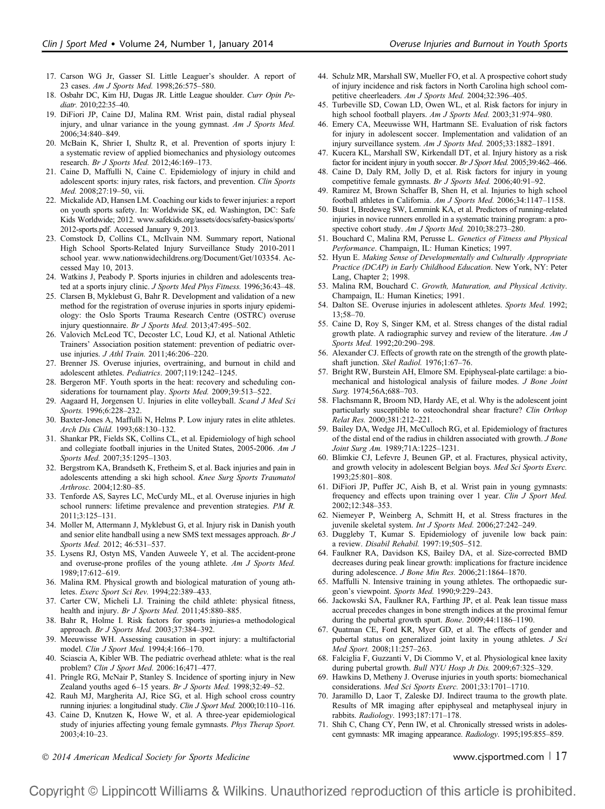- 17. Carson WG Jr, Gasser SI. Little Leaguer's shoulder. A report of 23 cases. Am J Sports Med. 1998;26:575–580.
- 18. Osbahr DC, Kim HJ, Dugas JR. Little League shoulder. Curr Opin Pediatr. 2010;22:35–40.
- 19. DiFiori JP, Caine DJ, Malina RM. Wrist pain, distal radial physeal injury, and ulnar variance in the young gymnast. Am J Sports Med. 2006;34:840–849.
- 20. McBain K, Shrier I, Shultz R, et al. Prevention of sports injury I: a systematic review of applied biomechanics and physiology outcomes research. Br J Sports Med. 2012;46:169–173.
- 21. Caine D, Maffulli N, Caine C. Epidemiology of injury in child and adolescent sports: injury rates, risk factors, and prevention. Clin Sports Med. 2008;27:19-50, vii.
- 22. Mickalide AD, Hansen LM. Coaching our kids to fewer injuries: a report on youth sports safety. In: Worldwide SK, ed. Washington, DC: Safe Kids Worldwide; 2012. www.safekids.org/assets/docs/safety-basics/sports/ 2012-sports.pdf. Accessed January 9, 2013.
- 23. Comstock D, Collins CL, McIlvain NM. Summary report, National High School Sports-Related Injury Surveillance Study 2010-2011 school year. www.nationwidechildrens.org/Document/Get/103354. Accessed May 10, 2013.
- 24. Watkins J, Peabody P. Sports injuries in children and adolescents treated at a sports injury clinic. J Sports Med Phys Fitness. 1996;36:43-48.
- 25. Clarsen B, Myklebust G, Bahr R. Development and validation of a new method for the registration of overuse injuries in sports injury epidemiology: the Oslo Sports Trauma Research Centre (OSTRC) overuse injury questionnaire. Br J Sports Med. 2013;47:495–502.
- 26. Valovich McLeod TC, Decoster LC, Loud KJ, et al. National Athletic Trainers' Association position statement: prevention of pediatric overuse injuries. J Athl Train. 2011;46:206–220.
- 27. Brenner JS. Overuse injuries, overtraining, and burnout in child and adolescent athletes. Pediatrics. 2007;119:1242–1245.
- 28. Bergeron MF. Youth sports in the heat: recovery and scheduling considerations for tournament play. Sports Med. 2009;39:513–522.
- 29. Aagaard H, Jorgensen U. Injuries in elite volleyball. Scand J Med Sci Sports. 1996;6:228–232.
- 30. Baxter-Jones A, Maffulli N, Helms P. Low injury rates in elite athletes. Arch Dis Child. 1993;68:130–132.
- 31. Shankar PR, Fields SK, Collins CL, et al. Epidemiology of high school and collegiate football injuries in the United States, 2005-2006. Am J Sports Med. 2007;35:1295–1303.
- 32. Bergstrom KA, Brandseth K, Fretheim S, et al. Back injuries and pain in adolescents attending a ski high school. Knee Surg Sports Traumatol Arthrosc. 2004;12:80–85.
- 33. Tenforde AS, Sayres LC, McCurdy ML, et al. Overuse injuries in high school runners: lifetime prevalence and prevention strategies. PM R. 2011;3:125–131.
- 34. Moller M, Attermann J, Myklebust G, et al. Injury risk in Danish youth and senior elite handball using a new SMS text messages approach. Br J Sports Med. 2012; 46:531–537.
- 35. Lysens RJ, Ostyn MS, Vanden Auweele Y, et al. The accident-prone and overuse-prone profiles of the young athlete. Am J Sports Med. 1989;17:612–619.
- 36. Malina RM. Physical growth and biological maturation of young athletes. Exerc Sport Sci Rev. 1994;22:389–433.
- 37. Carter CW, Micheli LJ. Training the child athlete: physical fitness, health and injury. Br J Sports Med. 2011;45:880-885.
- 38. Bahr R, Holme I. Risk factors for sports injuries-a methodological approach. Br J Sports Med. 2003;37:384–392.
- 39. Meeuwisse WH. Assessing causation in sport injury: a multifactorial model. Clin J Sport Med. 1994;4:166–170.
- 40. Sciascia A, Kibler WB. The pediatric overhead athlete: what is the real problem? Clin J Sport Med. 2006:16;471–477.
- 41. Pringle RG, McNair P, Stanley S. Incidence of sporting injury in New Zealand youths aged 6-15 years. Br J Sports Med. 1998;32:49-52.
- 42. Rauh MJ, Margherita AJ, Rice SG, et al. High school cross country running injuries: a longitudinal study. Clin J Sport Med. 2000;10:110-116.
- 43. Caine D, Knutzen K, Howe W, et al. A three-year epidemiological study of injuries affecting young female gymnasts. Phys Therap Sport. 2003;4:10–23.
- 44. Schulz MR, Marshall SW, Mueller FO, et al. A prospective cohort study of injury incidence and risk factors in North Carolina high school competitive cheerleaders. Am J Sports Med. 2004;32:396–405.
- 45. Turbeville SD, Cowan LD, Owen WL, et al. Risk factors for injury in high school football players. Am J Sports Med. 2003;31:974–980.
- 46. Emery CA, Meeuwisse WH, Hartmann SE. Evaluation of risk factors for injury in adolescent soccer. Implementation and validation of an injury surveillance system. Am J Sports Med. 2005;33:1882–1891.
- 47. Kucera KL, Marshall SW, Kirkendall DT, et al. Injury history as a risk factor for incident injury in youth soccer. Br J Sport Med. 2005;39:462–466.
- 48. Caine D, Daly RM, Jolly D, et al. Risk factors for injury in young competitive female gymnasts. Br J Sports Med. 2006;40:91–92.
- Ramirez M, Brown Schaffer B, Shen H, et al. Injuries to high school football athletes in California. Am J Sports Med. 2006;34:1147–1158.
- 50. Buist I, Bredeweg SW, Lemmink KA, et al. Predictors of running-related injuries in novice runners enrolled in a systematic training program: a prospective cohort study. Am J Sports Med. 2010;38:273–280.
- 51. Bouchard C, Malina RM, Perusse L. Genetics of Fitness and Physical Performance. Champaign, IL: Human Kinetics; 1997.
- 52. Hyun E. Making Sense of Developmentally and Culturally Appropriate Practice (DCAP) in Early Childhood Education. New York, NY: Peter Lang, Chapter 2; 1998.
- 53. Malina RM, Bouchard C. Growth, Maturation, and Physical Activity. Champaign, IL: Human Kinetics; 1991.
- 54. Dalton SE. Overuse injuries in adolescent athletes. Sports Med. 1992; 13;58–70.
- 55. Caine D, Roy S, Singer KM, et al. Stress changes of the distal radial growth plate. A radiographic survey and review of the literature. Am J Sports Med. 1992;20:290–298.
- 56. Alexander CJ. Effects of growth rate on the strength of the growth plateshaft junction. Skel Radiol. 1976;1:67-76.
- 57. Bright RW, Burstein AH, Elmore SM. Epiphyseal-plate cartilage: a biomechanical and histological analysis of failure modes. J Bone Joint Surg. 1974;56A;688-703.
- 58. Flachsmann R, Broom ND, Hardy AE, et al. Why is the adolescent joint particularly susceptible to osteochondral shear fracture? Clin Orthop Relat Res. 2000;381:212–221.
- 59. Bailey DA, Wedge JH, McCulloch RG, et al. Epidemiology of fractures of the distal end of the radius in children associated with growth. J Bone Joint Surg Am. 1989;71A:1225–1231.
- 60. Blimkie CJ, Lefevre J, Beunen GP, et al. Fractures, physical activity, and growth velocity in adolescent Belgian boys. Med Sci Sports Exerc. 1993;25:801–808.
- 61. DiFiori JP, Puffer JC, Aish B, et al. Wrist pain in young gymnasts: frequency and effects upon training over 1 year. Clin J Sport Med. 2002;12:348–353.
- 62. Niemeyer P, Weinberg A, Schmitt H, et al. Stress fractures in the juvenile skeletal system. Int J Sports Med. 2006;27:242–249.
- 63. Duggleby T, Kumar S. Epidemiology of juvenile low back pain: a review. Disabil Rehabil. 1997:19;505–512.
- 64. Faulkner RA, Davidson KS, Bailey DA, et al. Size-corrected BMD decreases during peak linear growth: implications for fracture incidence during adolescence. J Bone Min Res. 2006;21:1864–1870.
- 65. Maffulli N. Intensive training in young athletes. The orthopaedic surgeon's viewpoint. Sports Med. 1990;9:229–243.
- 66. Jackowski SA, Faulkner RA, Farthing JP, et al. Peak lean tissue mass accrual precedes changes in bone strength indices at the proximal femur during the pubertal growth spurt. Bone. 2009;44:1186–1190.
- 67. Quatman CE, Ford KR, Myer GD, et al. The effects of gender and pubertal status on generalized joint laxity in young athletes. J Sci Med Sport. 2008;11:257–263.
- 68. Falciglia F, Guzzanti V, Di Ciommo V, et al. Physiological knee laxity during pubertal growth. Bull NYU Hosp Jt Dis. 2009;67:325-329.
- 69. Hawkins D, Metheny J. Overuse injuries in youth sports: biomechanical considerations. Med Sci Sports Exerc. 2001;33:1701–1710.
- 70. Jaramillo D, Laor T, Zaleske DJ. Indirect trauma to the growth plate. Results of MR imaging after epiphyseal and metaphyseal injury in rabbits. Radiology. 1993;187:171–178.
- 71. Shih C, Chang CY, Penn IW, et al. Chronically stressed wrists in adolescent gymnasts: MR imaging appearance. Radiology. 1995;195:855–859.

© 2014 American Medical Society for Sports Medicine www.cjsportmed.com | 17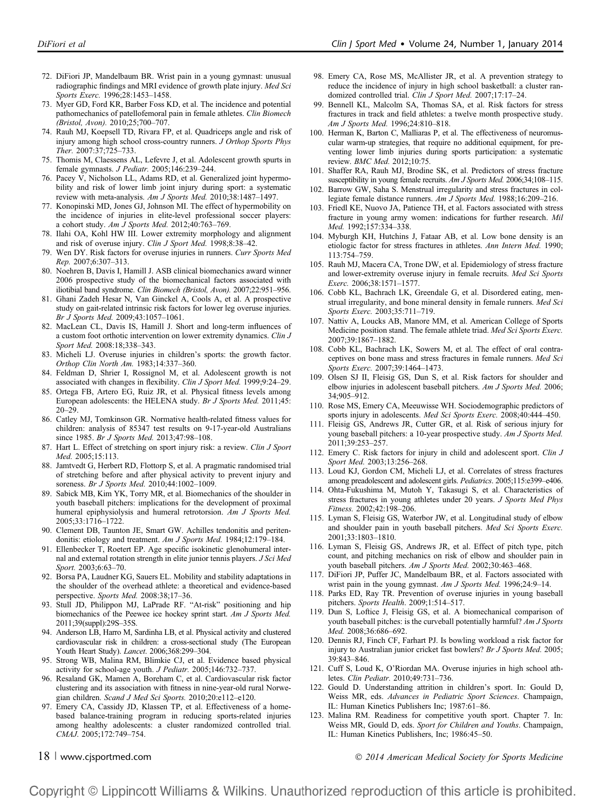- 72. DiFiori JP, Mandelbaum BR. Wrist pain in a young gymnast: unusual radiographic findings and MRI evidence of growth plate injury. Med Sci Sports Exerc. 1996;28:1453–1458.
- 73. Myer GD, Ford KR, Barber Foss KD, et al. The incidence and potential pathomechanics of patellofemoral pain in female athletes. Clin Biomech (Bristol, Avon). 2010;25;700–707.
- 74. Rauh MJ, Koepsell TD, Rivara FP, et al. Quadriceps angle and risk of injury among high school cross-country runners. J Orthop Sports Phys Ther. 2007:37;725–733.
- 75. Thomis M, Claessens AL, Lefevre J, et al. Adolescent growth spurts in female gymnasts. J Pediatr. 2005;146:239–244.
- 76. Pacey V, Nicholson LL, Adams RD, et al. Generalized joint hypermobility and risk of lower limb joint injury during sport: a systematic review with meta-analysis. Am J Sports Med. 2010;38:1487–1497.
- 77. Konopinski MD, Jones GJ, Johnson MI. The effect of hypermobility on the incidence of injuries in elite-level professional soccer players: a cohort study. Am J Sports Med. 2012;40:763-769.
- 78. Ilahi OA, Kohl HW III. Lower extremity morphology and alignment and risk of overuse injury. Clin J Sport Med. 1998;8:38–42.
- 79. Wen DY. Risk factors for overuse injuries in runners. Curr Sports Med Rep. 2007;6:307–313.
- 80. Noehren B, Davis I, Hamill J. ASB clinical biomechanics award winner 2006 prospective study of the biomechanical factors associated with iliotibial band syndrome. Clin Biomech (Bristol, Avon). 2007;22:951–956.
- 81. Ghani Zadeh Hesar N, Van Ginckel A, Cools A, et al. A prospective study on gait-related intrinsic risk factors for lower leg overuse injuries. Br J Sports Med. 2009;43:1057–1061.
- 82. MacLean CL, Davis IS, Hamill J. Short and long-term influences of a custom foot orthotic intervention on lower extremity dynamics. Clin J Sport Med. 2008:18;338–343.
- 83. Micheli LJ. Overuse injuries in children's sports: the growth factor. Orthop Clin North Am. 1983;14:337–360.
- 84. Feldman D, Shrier I, Rossignol M, et al. Adolescent growth is not associated with changes in flexibility. Clin J Sport Med. 1999;9:24-29.
- 85. Ortega FB, Artero EG, Ruiz JR, et al. Physical fitness levels among European adolescents: the HELENA study. Br J Sports Med. 2011;45: 20–29.
- 86. Catley MJ, Tomkinson GR. Normative health-related fitness values for children: analysis of 85347 test results on 9-17-year-old Australians since 1985. Br J Sports Med. 2013;47:98–108.
- 87. Hart L. Effect of stretching on sport injury risk: a review. Clin J Sport Med. 2005;15:113.
- 88. Jamtvedt G, Herbert RD, Flottorp S, et al. A pragmatic randomised trial of stretching before and after physical activity to prevent injury and soreness. Br J Sports Med. 2010;44:1002-1009.
- 89. Sabick MB, Kim YK, Torry MR, et al. Biomechanics of the shoulder in youth baseball pitchers: implications for the development of proximal humeral epiphysiolysis and humeral retrotorsion. Am J Sports Med. 2005;33:1716–1722.
- 90. Clement DB, Taunton JE, Smart GW. Achilles tendonitis and peritendonitis: etiology and treatment. Am J Sports Med. 1984;12:179-184.
- 91. Ellenbecker T, Roetert EP. Age specific isokinetic glenohumeral internal and external rotation strength in elite junior tennis players. J Sci Med Sport. 2003;6:63–70.
- 92. Borsa PA, Laudner KG, Sauers EL. Mobility and stability adaptations in the shoulder of the overhead athlete: a theoretical and evidence-based perspective. Sports Med. 2008:38;17–36.
- 93. Stull JD, Philippon MJ, LaPrade RF. "At-risk" positioning and hip biomechanics of the Peewee ice hockey sprint start. Am J Sports Med. 2011;39(suppl):29S–35S.
- 94. Anderson LB, Harro M, Sardinha LB, et al. Physical activity and clustered cardiovascular risk in children: a cross-sectional study (The European Youth Heart Study). Lancet. 2006;368:299-304.
- 95. Strong WB, Malina RM, Blimkie CJ, et al. Evidence based physical activity for school-age youth. J Pediatr. 2005;146:732–737.
- 96. Resaland GK, Mamen A, Boreham C, et al. Cardiovascular risk factor clustering and its association with fitness in nine-year-old rural Norwegian children. Scand J Med Sci Sports. 2010;20:e112-e120.
- 97. Emery CA, Cassidy JD, Klassen TP, et al. Effectiveness of a homebased balance-training program in reducing sports-related injuries among healthy adolescents: a cluster randomized controlled trial. CMAJ. 2005;172:749–754.
- 98. Emery CA, Rose MS, McAllister JR, et al. A prevention strategy to reduce the incidence of injury in high school basketball: a cluster randomized controlled trial. Clin J Sport Med. 2007;17:17-24.
- 99. Bennell KL, Malcolm SA, Thomas SA, et al. Risk factors for stress fractures in track and field athletes: a twelve month prospective study. Am J Sports Med. 1996;24:810–818.
- 100. Herman K, Barton C, Malliaras P, et al. The effectiveness of neuromuscular warm-up strategies, that require no additional equipment, for preventing lower limb injuries during sports participation: a systematic review. BMC Med. 2012;10:75.
- 101. Shaffer RA, Rauh MJ, Brodine SK, et al. Predictors of stress fracture susceptibility in young female recruits. Am J Sports Med. 2006;34;108-115.
- 102. Barrow GW, Saha S. Menstrual irregularity and stress fractures in collegiate female distance runners. Am J Sports Med. 1988;16:209-216.
- 103. Friedl KE, Nuovo JA, Patience TH, et al. Factors associated with stress fracture in young army women: indications for further research. Mil Med. 1992;157:334–338.
- 104. Myburgh KH, Hutchins J, Fataar AB, et al. Low bone density is an etiologic factor for stress fractures in athletes. Ann Intern Med. 1990; 113:754–759.
- 105. Rauh MJ, Macera CA, Trone DW, et al. Epidemiology of stress fracture and lower-extremity overuse injury in female recruits. Med Sci Sports Exerc. 2006;38:1571–1577.
- 106. Cobb KL, Bachrach LK, Greendale G, et al. Disordered eating, menstrual irregularity, and bone mineral density in female runners. Med Sci Sports Exerc. 2003;35:711–719.
- 107. Nattiv A, Loucks AB, Manore MM, et al. American College of Sports Medicine position stand. The female athlete triad. Med Sci Sports Exerc. 2007;39:1867–1882.
- 108. Cobb KL, Bachrach LK, Sowers M, et al. The effect of oral contraceptives on bone mass and stress fractures in female runners. Med Sci Sports Exerc. 2007;39:1464–1473.
- 109. Olsen SJ II, Fleisig GS, Dun S, et al. Risk factors for shoulder and elbow injuries in adolescent baseball pitchers. Am J Sports Med. 2006; 34;905–912.
- 110. Rose MS, Emery CA, Meeuwisse WH. Sociodemographic predictors of sports injury in adolescents. Med Sci Sports Exerc. 2008;40:444-450.
- 111. Fleisig GS, Andrews JR, Cutter GR, et al. Risk of serious injury for young baseball pitchers: a 10-year prospective study. Am J Sports Med. 2011;39:253–257.
- 112. Emery C. Risk factors for injury in child and adolescent sport. Clin J Sport Med. 2003;13:256–268.
- 113. Loud KJ, Gordon CM, Micheli LJ, et al. Correlates of stress fractures among preadolescent and adolescent girls. Pediatrics. 2005;115:e399–e406.
- 114. Ohta-Fukushima M, Mutoh Y, Takasugi S, et al. Characteristics of stress fractures in young athletes under 20 years. J Sports Med Phys Fitness. 2002;42:198–206.
- 115. Lyman S, Fleisig GS, Waterbor JW, et al. Longitudinal study of elbow and shoulder pain in youth baseball pitchers. Med Sci Sports Exerc. 2001;33:1803–1810.
- 116. Lyman S, Fleisig GS, Andrews JR, et al. Effect of pitch type, pitch count, and pitching mechanics on risk of elbow and shoulder pain in youth baseball pitchers. Am J Sports Med. 2002;30:463-468.
- 117. DiFiori JP, Puffer JC, Mandelbaum BR, et al. Factors associated with wrist pain in the young gymnast. Am J Sports Med. 1996;24:9-14.
- 118. Parks ED, Ray TR. Prevention of overuse injuries in young baseball pitchers. Sports Health. 2009;1:514–517.
- 119. Dun S, Loftice J, Fleisig GS, et al. A biomechanical comparison of youth baseball pitches: is the curveball potentially harmful? Am J Sports Med. 2008;36:686–692.
- 120. Dennis RJ, Finch CF, Farhart PJ. Is bowling workload a risk factor for injury to Australian junior cricket fast bowlers? Br J Sports Med. 2005; 39:843–846.
- 121. Cuff S, Loud K, O'Riordan MA. Overuse injuries in high school athletes. Clin Pediatr. 2010;49:731–736.
- 122. Gould D. Understanding attrition in children's sport. In: Gould D, Weiss MR, eds. Advances in Pediatric Sport Sciences. Champaign, IL: Human Kinetics Publishers Inc; 1987:61–86.
- 123. Malina RM. Readiness for competitive youth sport. Chapter 7. In: Weiss MR, Gould D, eds. Sport for Children and Youths. Champaign, IL: Human Kinetics Publishers, Inc; 1986:45–50.

#### 18 <sup>|</sup> www.cjsportmed.com -

2014 American Medical Society for Sports Medicine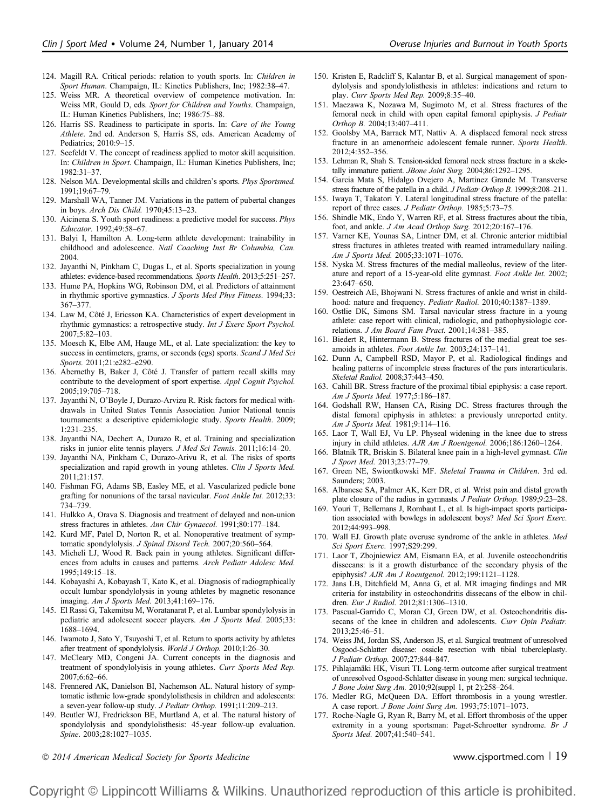- 124. Magill RA. Critical periods: relation to youth sports. In: Children in Sport Human. Champaign, IL: Kinetics Publishers, Inc; 1982:38-47.
- 125. Weiss MR. A theoretical overview of competence motivation. In: Weiss MR, Gould D, eds. Sport for Children and Youths. Champaign, IL: Human Kinetics Publishers, Inc; 1986:75–88.
- 126. Harris SS. Readiness to participate in sports. In: Care of the Young Athlete. 2nd ed. Anderson S, Harris SS, eds. American Academy of Pediatrics; 2010:9–15.
- 127. Seefeldt V. The concept of readiness applied to motor skill acquisition. In: Children in Sport. Champaign, IL: Human Kinetics Publishers, Inc; 1982:31–37.
- 128. Nelson MA. Developmental skills and children's sports. Phys Sportsmed. 1991;19:67–79.
- 129. Marshall WA, Tanner JM. Variations in the pattern of pubertal changes in boys. Arch Dis Child. 1970;45:13–23.
- 130. Aicinena S. Youth sport readiness: a predictive model for success. Phys Educator. 1992;49:58–67.
- 131. Balyi I, Hamilton A. Long-term athlete development: trainability in childhood and adolescence. Natl Coaching Inst Br Columbia, Can. 2004.
- 132. Jayanthi N, Pinkham C, Dugas L, et al. Sports specialization in young athletes: evidence-based recommendations. Sports Health. 2013;5:251–257.
- 133. Hume PA, Hopkins WG, Robinson DM, et al. Predictors of attainment in rhythmic sportive gymnastics. J Sports Med Phys Fitness. 1994;33: 367–377.
- 134. Law M, Côté J, Ericsson KA. Characteristics of expert development in rhythmic gymnastics: a retrospective study. Int J Exerc Sport Psychol. 2007;5:82–103.
- 135. Moesch K, Elbe AM, Hauge ML, et al. Late specialization: the key to success in centimeters, grams, or seconds (cgs) sports. Scand J Med Sci Sports. 2011;21:e282–e290.
- 136. Abernethy B, Baker J, Côté J. Transfer of pattern recall skills may contribute to the development of sport expertise. Appl Cognit Psychol. 2005;19:705–718.
- 137. Jayanthi N, O'Boyle J, Durazo-Arvizu R. Risk factors for medical withdrawals in United States Tennis Association Junior National tennis tournaments: a descriptive epidemiologic study. Sports Health. 2009; 1:231–235.
- 138. Jayanthi NA, Dechert A, Durazo R, et al. Training and specialization risks in junior elite tennis players. J Med Sci Tennis. 2011;16:14–20.
- 139. Jayanthi NA, Pinkham C, Durazo-Arivu R, et al. The risks of sports specialization and rapid growth in young athletes. Clin J Sports Med. 2011;21:157.
- 140. Fishman FG, Adams SB, Easley ME, et al. Vascularized pedicle bone grafting for nonunions of the tarsal navicular. Foot Ankle Int. 2012;33: 734–739.
- 141. Hulkko A, Orava S. Diagnosis and treatment of delayed and non-union stress fractures in athletes. Ann Chir Gynaecol. 1991;80:177–184.
- 142. Kurd MF, Patel D, Norton R, et al. Nonoperative treatment of symptomatic spondylolysis. J Spinal Disord Tech. 2007;20:560–564.
- 143. Micheli LJ, Wood R. Back pain in young athletes. Significant differences from adults in causes and patterns. Arch Pediatr Adolesc Med. 1995;149:15–18.
- 144. Kobayashi A, Kobayash T, Kato K, et al. Diagnosis of radiographically occult lumbar spondylolysis in young athletes by magnetic resonance imaging. Am J Sports Med. 2013;41:169–176.
- 145. El Rassi G, Takemitsu M, Woratanarat P, et al. Lumbar spondylolysis in pediatric and adolescent soccer players. Am J Sports Med. 2005;33: 1688–1694.
- 146. Iwamoto J, Sato Y, Tsuyoshi T, et al. Return to sports activity by athletes after treatment of spondylolysis. World J Orthop. 2010;1:26–30.
- 147. McCleary MD, Congeni JA. Current concepts in the diagnosis and treatment of spondylolyisis in young athletes. Curr Sports Med Rep. 2007;6:62–66.
- 148. Frennered AK, Danielson BI, Nachemson AL. Natural history of symptomatic isthmic low-grade spondylolisthesis in children and adolescents: a seven-year follow-up study. J Pediatr Orthop. 1991;11:209-213.
- 149. Beutler WJ, Fredrickson BE, Murtland A, et al. The natural history of spondylolysis and spondylolisthesis: 45-year follow-up evaluation. Spine. 2003;28:1027–1035.
- 150. Kristen E, Radcliff S, Kalantar B, et al. Surgical management of spondylolysis and spondylolisthesis in athletes: indications and return to play. Curr Sports Med Rep. 2009;8:35–40.
- 151. Maezawa K, Nozawa M, Sugimoto M, et al. Stress fractures of the femoral neck in child with open capital femoral epiphysis. J Pediatr Orthop B. 2004;13:407–411.
- 152. Goolsby MA, Barrack MT, Nattiv A. A displaced femoral neck stress fracture in an amenorrheic adolescent female runner. Sports Health. 2012;4:352–356.
- 153. Lehman R, Shah S. Tension-sided femoral neck stress fracture in a skeletally immature patient. JBone Joint Surg. 2004;86:1292–1295.
- 154. Garcia Mata S, Hidalgo Ovejero A, Martinez Grande M. Transverse stress fracture of the patella in a child. *J Pediatr Orthop B*. 1999;8:208-211.
- 155. Iwaya T, Takatori Y. Lateral longitudinal stress fracture of the patella: report of three cases. J Pediatr Orthop. 1985;5:73–75.
- 156. Shindle MK, Endo Y, Warren RF, et al. Stress fractures about the tibia, foot, and ankle. J Am Acad Orthop Surg. 2012;20:167–176.
- 157. Varner KE, Younas SA, Lintner DM, et al. Chronic anterior midtibial stress fractures in athletes treated with reamed intramedullary nailing. Am J Sports Med. 2005;33:1071–1076.
- 158. Nyska M. Stress fractures of the medial malleolus, review of the literature and report of a 15-year-old elite gymnast. Foot Ankle Int. 2002;  $23.647 - 650$
- 159. Oestreich AE, Bhojwani N. Stress fractures of ankle and wrist in childhood: nature and frequency. Pediatr Radiol. 2010;40:1387–1389.
- 160. Ostlie DK, Simons SM. Tarsal navicular stress fracture in a young athlete: case report with clinical, radiologic, and pathophysiologic correlations. J Am Board Fam Pract. 2001;14:381–385.
- 161. Biedert R, Hintermann B. Stress fractures of the medial great toe sesamoids in athletes. Foot Ankle Int. 2003;24:137–141.
- 162. Dunn A, Campbell RSD, Mayor P, et al. Radiological findings and healing patterns of incomplete stress fractures of the pars interarticularis. Skeletal Radiol. 2008;37:443–450.
- 163. Cahill BR. Stress fracture of the proximal tibial epiphysis: a case report. Am J Sports Med. 1977;5:186–187.
- 164. Godshall RW, Hansen CA, Rising DC. Stress fractures through the distal femoral epiphysis in athletes: a previously unreported entity. Am J Sports Med. 1981;9:114–116.
- 165. Laor T, Wall EJ, Vu LP. Physeal widening in the knee due to stress injury in child athletes. AJR Am J Roentgenol. 2006;186:1260–1264.
- 166. Blatnik TR, Briskin S. Bilateral knee pain in a high-level gymnast. Clin J Sport Med. 2013;23:77–79.
- 167. Green NE, Swiontkowski MF. Skeletal Trauma in Children. 3rd ed. Saunders; 2003.
- 168. Albanese SA, Palmer AK, Kerr DR, et al. Wrist pain and distal growth plate closure of the radius in gymnasts. J Pediatr Orthop. 1989;9:23–28.
- 169. Youri T, Bellemans J, Rombaut L, et al. Is high-impact sports participation associated with bowlegs in adolescent boys? Med Sci Sport Exerc. 2012;44:993–998.
- 170. Wall EJ. Growth plate overuse syndrome of the ankle in athletes. Med Sci Sport Exerc. 1997;S29:299.
- 171. Laor T, Zbojniewicz AM, Eismann EA, et al. Juvenile osteochondritis dissecans: is it a growth disturbance of the secondary physis of the epiphysis? AJR Am J Roentgenol. 2012;199:1121–1128.
- 172. Jans LB, Ditchfield M, Anna G, et al. MR imaging findings and MR criteria for instability in osteochondritis dissecans of the elbow in children. Eur J Radiol. 2012;81:1306–1310.
- 173. Pascual-Garrido C, Moran CJ, Green DW, et al. Osteochondritis dissecans of the knee in children and adolescents. Curr Opin Pediatr. 2013;25:46–51.
- 174. Weiss JM, Jordan SS, Anderson JS, et al. Surgical treatment of unresolved Osgood-Schlatter disease: ossicle resection with tibial tubercleplasty. J Pediatr Orthop. 2007;27:844–847.
- 175. Pihlajamäki HK, Visuri TI. Long-term outcome after surgical treatment of unresolved Osgood-Schlatter disease in young men: surgical technique. J Bone Joint Surg Am. 2010;92(suppl 1, pt 2):258–264.
- 176. Medler RG, McQueen DA. Effort thrombosis in a young wrestler. A case report. J Bone Joint Surg Am. 1993;75:1071–1073.
- 177. Roche-Nagle G, Ryan R, Barry M, et al. Effort thrombosis of the upper extremity in a young sportsman: Paget-Schroetter syndrome. Br J Sports Med. 2007;41:540–541.

© 2014 American Medical Society for Sports Medicine www.cjsportmed.com | 19